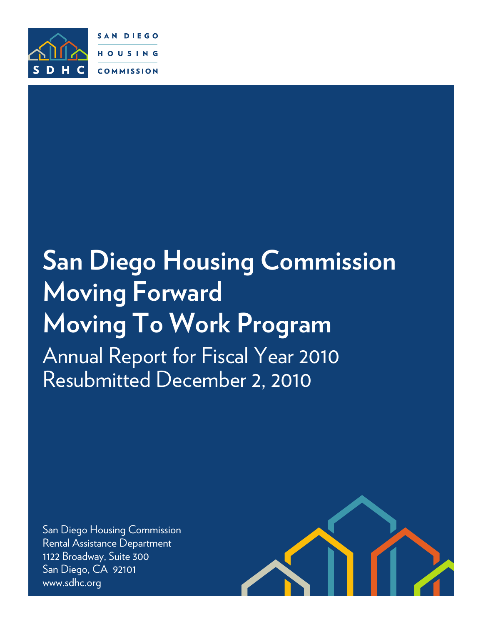

SAN DIEGO HOUSING **COMMISSION** 

# **San Diego Housing Commission Moving Forward Moving To Work Program** Annual Report for Fiscal Year 2010 Resubmitted December 2, 2010

San Diego Housing Commission Rental Assistance Department 1122 Broadway, Suite 300 San Diego, CA 92101 www.sdhc.org

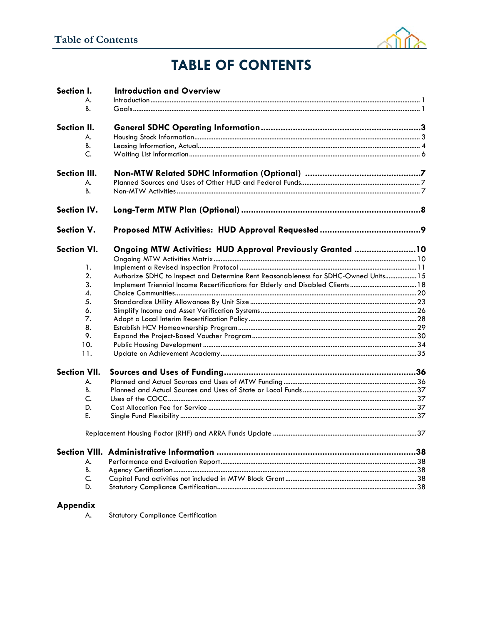

## **TABLE OF CONTENTS**

| Section I.          | <b>Introduction and Overview</b>                                                    |     |
|---------------------|-------------------------------------------------------------------------------------|-----|
| А.                  |                                                                                     |     |
| В.                  |                                                                                     |     |
| Section II.         |                                                                                     |     |
| А.                  |                                                                                     |     |
| В.                  |                                                                                     |     |
| C.                  |                                                                                     |     |
| <b>Section III.</b> |                                                                                     |     |
| А.                  |                                                                                     |     |
| B.                  |                                                                                     |     |
| <b>Section IV.</b>  |                                                                                     |     |
| Section V.          |                                                                                     |     |
| <b>Section VI.</b>  | Ongoing MTW Activities: HUD Approval Previously Granted 10                          |     |
|                     |                                                                                     |     |
| 1.                  |                                                                                     |     |
| 2.                  | Authorize SDHC to Inspect and Determine Rent Reasonableness for SDHC-Owned Units 15 |     |
| 3.                  | Implement Triennial Income Recertifications for Elderly and Disabled Clients  18    |     |
| 4.                  |                                                                                     |     |
| 5.                  |                                                                                     |     |
| 6.                  |                                                                                     |     |
| 7.                  |                                                                                     |     |
| 8.                  |                                                                                     |     |
| 9.                  |                                                                                     |     |
| 10.                 |                                                                                     |     |
| 11.                 |                                                                                     |     |
| <b>Section VII.</b> |                                                                                     |     |
| А.                  |                                                                                     |     |
| В.                  |                                                                                     |     |
| C.                  |                                                                                     |     |
| D.                  |                                                                                     |     |
| E.                  |                                                                                     |     |
|                     |                                                                                     |     |
|                     |                                                                                     | .38 |
| А.                  |                                                                                     |     |
| B.                  |                                                                                     |     |
| C.                  |                                                                                     |     |
| D.                  |                                                                                     |     |
|                     |                                                                                     |     |

## Appendix

A. Statutory Compliance Certification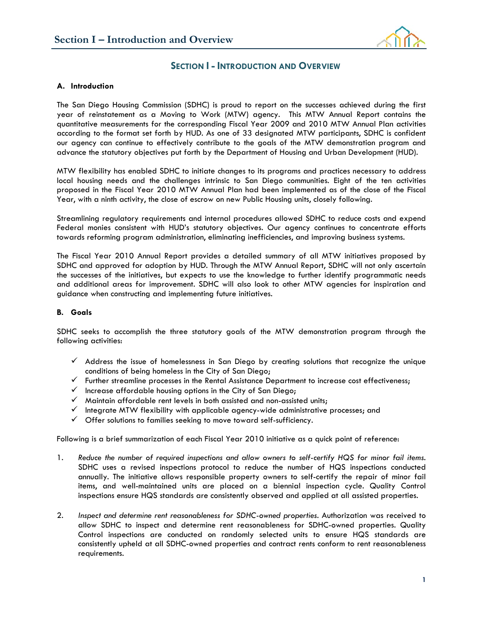

#### **SECTION I - INTRODUCTION AND OVERVIEW**

#### **A. Introduction**

The San Diego Housing Commission (SDHC) is proud to report on the successes achieved during the first year of reinstatement as a Moving to Work (MTW) agency. This MTW Annual Report contains the quantitative measurements for the corresponding Fiscal Year 2009 and 2010 MTW Annual Plan activities according to the format set forth by HUD. As one of 33 designated MTW participants, SDHC is confident our agency can continue to effectively contribute to the goals of the MTW demonstration program and advance the statutory objectives put forth by the Department of Housing and Urban Development (HUD).

MTW flexibility has enabled SDHC to initiate changes to its programs and practices necessary to address local housing needs and the challenges intrinsic to San Diego communities. Eight of the ten activities proposed in the Fiscal Year 2010 MTW Annual Plan had been implemented as of the close of the Fiscal Year, with a ninth activity, the close of escrow on new Public Housing units, closely following.

Streamlining regulatory requirements and internal procedures allowed SDHC to reduce costs and expend Federal monies consistent with HUD's statutory objectives. Our agency continues to concentrate efforts towards reforming program administration, eliminating inefficiencies, and improving business systems.

The Fiscal Year 2010 Annual Report provides a detailed summary of all MTW initiatives proposed by SDHC and approved for adoption by HUD. Through the MTW Annual Report, SDHC will not only ascertain the successes of the initiatives, but expects to use the knowledge to further identify programmatic needs and additional areas for improvement. SDHC will also look to other MTW agencies for inspiration and guidance when constructing and implementing future initiatives.

#### **B. Goals**

SDHC seeks to accomplish the three statutory goals of the MTW demonstration program through the following activities:

- $\checkmark$  Address the issue of homelessness in San Diego by creating solutions that recognize the unique conditions of being homeless in the City of San Diego;
- $\checkmark$  Further streamline processes in the Rental Assistance Department to increase cost effectiveness;
- $\checkmark$  Increase affordable housing options in the City of San Diego;
- $\checkmark$  Maintain affordable rent levels in both assisted and non-assisted units;
- $\checkmark$  Integrate MTW flexibility with applicable agency-wide administrative processes; and
- $\checkmark$  Offer solutions to families seeking to move toward self-sufficiency.

Following is a brief summarization of each Fiscal Year 2010 initiative as a quick point of reference:

- 1. *Reduce the number of required inspections and allow owners to self-certify HQS for minor fail items.*  SDHC uses a revised inspections protocol to reduce the number of HQS inspections conducted annually. The initiative allows responsible property owners to self-certify the repair of minor fail items, and well-maintained units are placed on a biennial inspection cycle. Quality Control inspections ensure HQS standards are consistently observed and applied at all assisted properties.
- 2. *Inspect and determine rent reasonableness for SDHC-owned properties.* Authorization was received to allow SDHC to inspect and determine rent reasonableness for SDHC-owned properties. Quality Control inspections are conducted on randomly selected units to ensure HQS standards are consistently upheld at all SDHC-owned properties and contract rents conform to rent reasonableness requirements.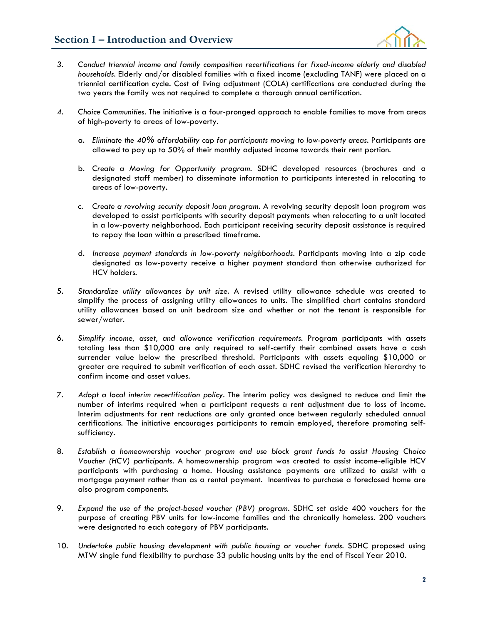

- *3. Conduct triennial income and family composition recertifications for fixed-income elderly and disabled households.* Elderly and/or disabled families with a fixed income (excluding TANF) were placed on a triennial certification cycle. Cost of living adjustment (COLA) certifications are conducted during the two years the family was not required to complete a thorough annual certification.
- *4. Choice Communities.* The initiative is a four-pronged approach to enable families to move from areas of high-poverty to areas of low-poverty.
	- a. *Eliminate the 40% affordability cap for participants moving to low-poverty areas.* Participants are allowed to pay up to 50% of their monthly adjusted income towards their rent portion.
	- b. *Create a Moving for Opportunity program.* SDHC developed resources (brochures and a designated staff member) to disseminate information to participants interested in relocating to areas of low-poverty.
	- c. *Create a revolving security deposit loan program.* A revolving security deposit loan program was developed to assist participants with security deposit payments when relocating to a unit located in a low-poverty neighborhood. Each participant receiving security deposit assistance is required to repay the loan within a prescribed timeframe.
	- d. *Increase payment standards in low-poverty neighborhoods.* Participants moving into a zip code designated as low-poverty receive a higher payment standard than otherwise authorized for HCV holders.
- 5. *Standardize utility allowances by unit size.* A revised utility allowance schedule was created to simplify the process of assigning utility allowances to units. The simplified chart contains standard utility allowances based on unit bedroom size and whether or not the tenant is responsible for sewer/water.
- 6. *Simplify income, asset, and allowance verification requirements.* Program participants with assets totaling less than \$10,000 are only required to self-certify their combined assets have a cash surrender value below the prescribed threshold. Participants with assets equaling \$10,000 or greater are required to submit verification of each asset. SDHC revised the verification hierarchy to confirm income and asset values.
- 7. *Adopt a local interim recertification policy.* The interim policy was designed to reduce and limit the number of interims required when a participant requests a rent adjustment due to loss of income. Interim adjustments for rent reductions are only granted once between regularly scheduled annual certifications. The initiative encourages participants to remain employed, therefore promoting selfsufficiency.
- 8. *Establish a homeownership voucher program and use block grant funds to assist Housing Choice Voucher (HCV) participants.* A homeownership program was created to assist income-eligible HCV participants with purchasing a home. Housing assistance payments are utilized to assist with a mortgage payment rather than as a rental payment. Incentives to purchase a foreclosed home are also program components.
- 9. *Expand the use of the project-based voucher (PBV) program.* SDHC set aside 400 vouchers for the purpose of creating PBV units for low-income families and the chronically homeless. 200 vouchers were designated to each category of PBV participants.
- 10. *Undertake public housing development with public housing or voucher funds.* SDHC proposed using MTW single fund flexibility to purchase 33 public housing units by the end of Fiscal Year 2010.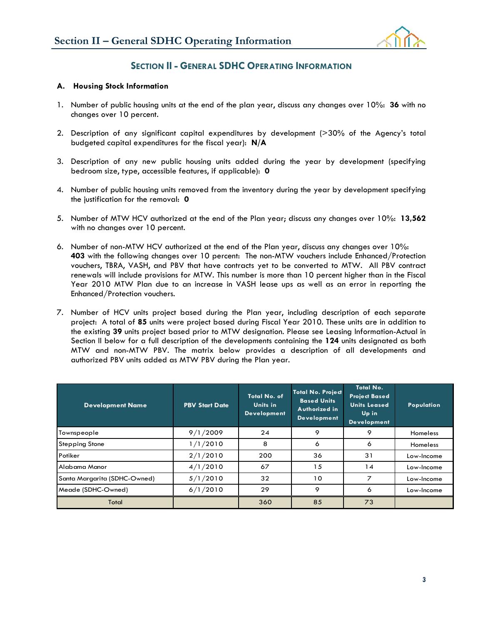

## **SECTION II - GENERAL SDHC OPERATING INFORMATION**

#### **A. Housing Stock Information**

- 1. Number of public housing units at the end of the plan year, discuss any changes over 10%: **36** with no changes over 10 percent.
- 2. Description of any significant capital expenditures by development (>30% of the Agency's total budgeted capital expenditures for the fiscal year): **N/A**
- 3. Description of any new public housing units added during the year by development (specifying bedroom size, type, accessible features, if applicable): **0**
- 4. Number of public housing units removed from the inventory during the year by development specifying the justification for the removal: **0**
- 5. Number of MTW HCV authorized at the end of the Plan year; discuss any changes over 10%: **13,562** with no changes over 10 percent.
- 6. Number of non-MTW HCV authorized at the end of the Plan year, discuss any changes over 10%: **403** with the following changes over 10 percent: The non-MTW vouchers include Enhanced/Protection vouchers, TBRA, VASH, and PBV that have contracts yet to be converted to MTW. All PBV contract renewals will include provisions for MTW. This number is more than 10 percent higher than in the Fiscal Year 2010 MTW Plan due to an increase in VASH lease ups as well as an error in reporting the Enhanced/Protection vouchers.
- 7. Number of HCV units project based during the Plan year, including description of each separate project: A total of **85** units were project based during Fiscal Year 2010. These units are in addition to the existing **39** units project based prior to MTW designation. Please see Leasing Information-Actual in Section II below for a full description of the developments containing the **124** units designated as both MTW and non-MTW PBV. The matrix below provides a description of all developments and authorized PBV units added as MTW PBV during the Plan year.

| <b>Development Name</b>      | <b>PBV Start Date</b> | Total No. of<br>Units in<br><b>Development</b> | <b>Total No. Project</b><br><b>Based Units</b><br>Authorized in<br><b>Development</b> | <b>Total No.</b><br><b>Project Based</b><br><b>Units Leased</b><br>Up in<br><b>Development</b> | Population |
|------------------------------|-----------------------|------------------------------------------------|---------------------------------------------------------------------------------------|------------------------------------------------------------------------------------------------|------------|
| Townspeople                  | 9/1/2009              | 24                                             | 9                                                                                     | 9                                                                                              | Homeless   |
| <b>Stepping Stone</b>        | 1/1/2010              | 8                                              | 6                                                                                     | 6                                                                                              | Homeless   |
| Potiker                      | 2/1/2010              | 200                                            | 36                                                                                    | 31                                                                                             | Low-Income |
| Alabama Manor                | 4/1/2010              | 67                                             | 15                                                                                    | 14                                                                                             | Low-Income |
| Santa Margarita (SDHC-Owned) | 5/1/2010              | 32                                             | 10                                                                                    | ⇁                                                                                              | Low-Income |
| Meade (SDHC-Owned)           | 6/1/2010              | 29                                             | 9                                                                                     | 6                                                                                              | Low-Income |
| Total                        |                       | 360                                            | 85                                                                                    | 73                                                                                             |            |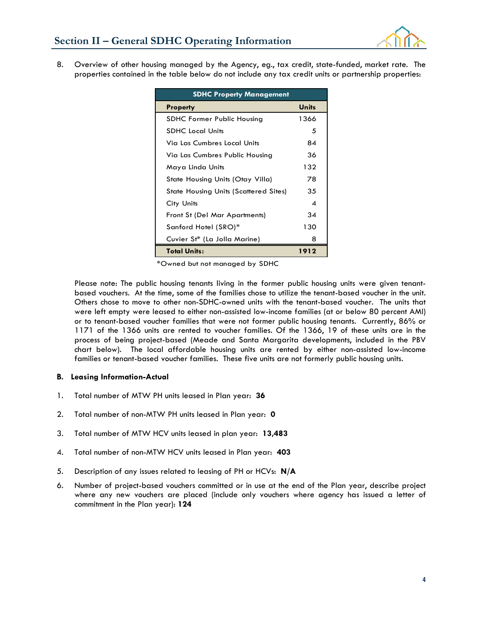

8. Overview of other housing managed by the Agency, eg., tax credit, state-funded, market rate. The properties contained in the table below do not include any tax credit units or partnership properties:

| <b>SDHC Property Management</b>              |              |  |  |  |
|----------------------------------------------|--------------|--|--|--|
| <b>Property</b>                              | <b>Units</b> |  |  |  |
| SDHC Former Public Housing                   | 1366         |  |  |  |
| <b>SDHC</b> Local Units                      | 5            |  |  |  |
| Via Las Cumbres Local Units                  | 84           |  |  |  |
| Via Las Cumbres Public Housing               | 36           |  |  |  |
| Maya Linda Units                             | 132          |  |  |  |
| State Housing Units (Otay Villa)             | 78           |  |  |  |
| <b>State Housing Units (Scattered Sites)</b> | 35           |  |  |  |
| City Units                                   | ⊿            |  |  |  |
| Front St (Del Mar Apartments)                | 34           |  |  |  |
| Sanford Hotel (SRO)*                         | 130          |  |  |  |
| Cuvier St* (La Jolla Marine)                 | 8            |  |  |  |
| <b>Total Units:</b>                          | 1912         |  |  |  |

\*Owned but not managed by SDHC

Please note: The public housing tenants living in the former public housing units were given tenantbased vouchers. At the time, some of the families chose to utilize the tenant-based voucher in the unit. Others chose to move to other non-SDHC-owned units with the tenant-based voucher. The units that were left empty were leased to either non-assisted low-income families (at or below 80 percent AMI) or to tenant-based voucher families that were not former public housing tenants. Currently, 86% or 1171 of the 1366 units are rented to voucher families. Of the 1366, 19 of these units are in the process of being project-based (Meade and Santa Margarita developments, included in the PBV chart below). The local affordable housing units are rented by either non-assisted low-income families or tenant-based voucher families. These five units are not formerly public housing units.

#### **B. Leasing Information-Actual**

- 1. Total number of MTW PH units leased in Plan year: **36**
- 2. Total number of non-MTW PH units leased in Plan year: **0**
- 3. Total number of MTW HCV units leased in plan year: **13,483**
- 4. Total number of non-MTW HCV units leased in Plan year: **403**
- 5. Description of any issues related to leasing of PH or HCVs: **N/A**
- 6. Number of project-based vouchers committed or in use at the end of the Plan year, describe project where any new vouchers are placed (include only vouchers where agency has issued a letter of commitment in the Plan year): **124**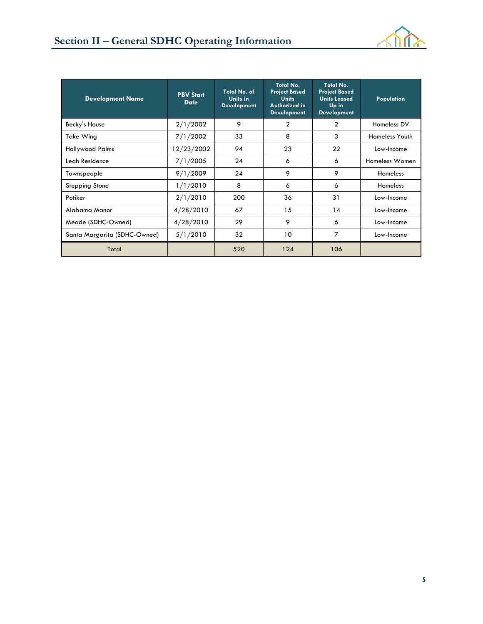

| <b>Development Name</b>      | <b>PBV Start</b><br><b>Date</b> | Total No. of<br>Units in<br><b>Development</b> | Total No.<br><b>Project Based</b><br><b>Units</b><br>Authorized in<br><b>Development</b> | Total No.<br><b>Project Based</b><br><b>Units Leased</b><br>Up in<br><b>Development</b> | Population      |
|------------------------------|---------------------------------|------------------------------------------------|------------------------------------------------------------------------------------------|-----------------------------------------------------------------------------------------|-----------------|
| Becky's House                | 2/1/2002                        | 9                                              | 2                                                                                        | 2                                                                                       | Homeless DV     |
| Take Wing                    | 7/1/2002                        | 33                                             | 8                                                                                        | 3                                                                                       | Homeless Youth  |
| <b>Hollywood Palms</b>       | 12/23/2002                      | 94                                             | 23                                                                                       | 22                                                                                      | Low-Income      |
| Leah Residence               | 7/1/2005                        | 24                                             | 6                                                                                        | 6                                                                                       | Homeless Women  |
| Townspeople                  | 9/1/2009                        | 24                                             | 9                                                                                        | 9                                                                                       | <b>Homeless</b> |
| <b>Stepping Stone</b>        | 1/1/2010                        | 8                                              | 6                                                                                        | 6                                                                                       | <b>Homeless</b> |
| Potiker                      | 2/1/2010                        | 200                                            | 36                                                                                       | 31                                                                                      | Low-Income      |
| Alabama Manor                | 4/28/2010                       | 67                                             | 15                                                                                       | 14                                                                                      | Low-Income      |
| Meade (SDHC-Owned)           | 4/28/2010                       | 29                                             | 9                                                                                        | 6                                                                                       | Low-Income      |
| Santa Margarita (SDHC-Owned) | 5/1/2010                        | 32                                             | 10                                                                                       | $\overline{7}$                                                                          | Low-Income      |
| Total                        |                                 | 520                                            | 124                                                                                      | 106                                                                                     |                 |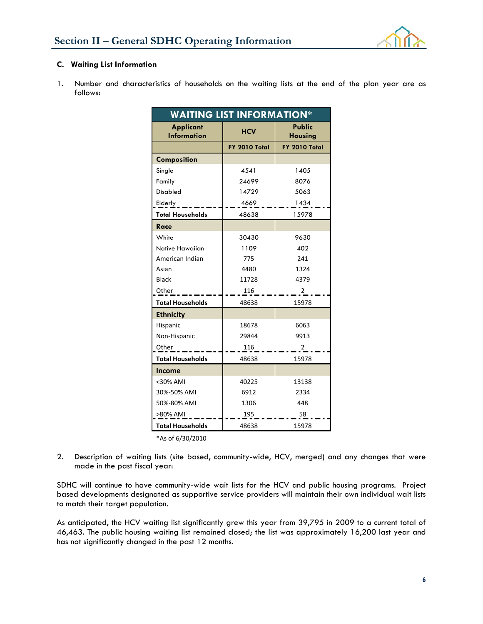

#### **C. Waiting List Information**

1. Number and characteristics of households on the waiting lists at the end of the plan year are as follows:

| <b>WAITING LIST INFORMATION*</b>       |               |                          |  |  |  |
|----------------------------------------|---------------|--------------------------|--|--|--|
| <b>Applicant</b><br><b>Information</b> | <b>HCV</b>    | Public<br><b>Housing</b> |  |  |  |
|                                        | FY 2010 Total | FY 2010 Total            |  |  |  |
| Composition                            |               |                          |  |  |  |
| Single                                 | 4541          | 1405                     |  |  |  |
| Family                                 | 24699         | 8076                     |  |  |  |
| <b>Disabled</b>                        | 14729         | 5063                     |  |  |  |
| Elderly                                | 4669          | 1434                     |  |  |  |
| <b>Total Households</b>                | 48638         | 15978                    |  |  |  |
| <b>Race</b>                            |               |                          |  |  |  |
| White                                  | 30430         | 9630                     |  |  |  |
| Native Hawaiian                        | 1109          | 402                      |  |  |  |
| American Indian                        | 775           | 241                      |  |  |  |
| Asian                                  | 4480          | 1324                     |  |  |  |
| <b>Black</b>                           | 11728         | 4379                     |  |  |  |
| Other                                  | 116           | 2                        |  |  |  |
| <b>Total Households</b>                | 48638         | 15978                    |  |  |  |
| <b>Ethnicity</b>                       |               |                          |  |  |  |
| Hispanic                               | 18678         | 6063                     |  |  |  |
| Non-Hispanic                           | 29844         | 9913                     |  |  |  |
| Other                                  | 116           | 2                        |  |  |  |
| <b>Total Households</b>                | 48638         | 15978                    |  |  |  |
| <b>Income</b>                          |               |                          |  |  |  |
| <30% AMI                               | 40225         | 13138                    |  |  |  |
| 30%-50% AMI                            | 6912          | 2334                     |  |  |  |
| 50%-80% AMI                            | 1306          | 448                      |  |  |  |
| >80% AMI                               | 195           | 58                       |  |  |  |
| <b>Total Households</b>                | 48638         | 15978                    |  |  |  |

\*As of 6/30/2010

2. Description of waiting lists (site based, community-wide, HCV, merged) and any changes that were made in the past fiscal year:

SDHC will continue to have community-wide wait lists for the HCV and public housing programs. Project based developments designated as supportive service providers will maintain their own individual wait lists to match their target population.

As anticipated, the HCV waiting list significantly grew this year from 39,795 in 2009 to a current total of 46,463. The public housing waiting list remained closed; the list was approximately 16,200 last year and has not significantly changed in the past 12 months.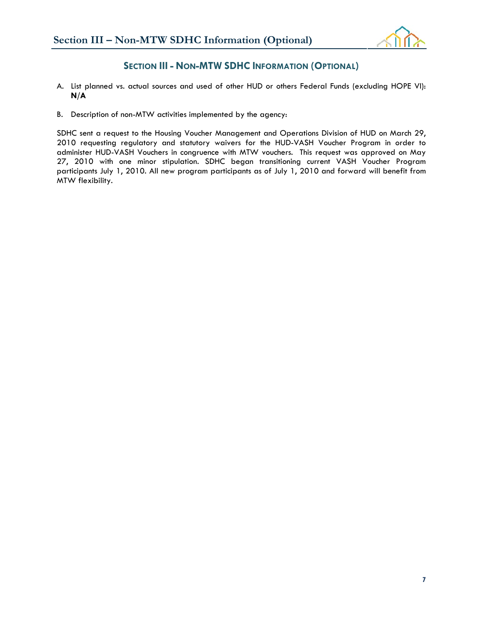

## **SECTION III - NON-MTW SDHC INFORMATION (OPTIONAL)**

- A. List planned vs. actual sources and used of other HUD or others Federal Funds (excluding HOPE VI): **N/A**
- B. Description of non-MTW activities implemented by the agency:

SDHC sent a request to the Housing Voucher Management and Operations Division of HUD on March 29, 2010 requesting regulatory and statutory waivers for the HUD-VASH Voucher Program in order to administer HUD-VASH Vouchers in congruence with MTW vouchers. This request was approved on May 27, 2010 with one minor stipulation. SDHC began transitioning current VASH Voucher Program participants July 1, 2010. All new program participants as of July 1, 2010 and forward will benefit from MTW flexibility.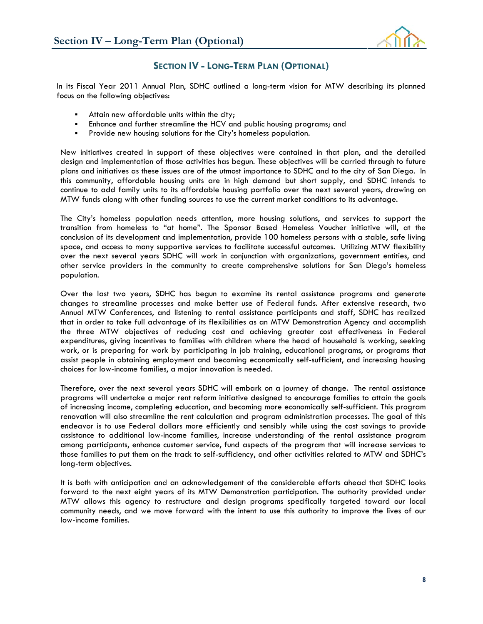

## **SECTION IV - LONG-TERM PLAN (OPTIONAL)**

In its Fiscal Year 2011 Annual Plan, SDHC outlined a long-term vision for MTW describing its planned focus on the following objectives:

- Attain new affordable units within the city;
- Enhance and further streamline the HCV and public housing programs; and
- Provide new housing solutions for the City's homeless population.

New initiatives created in support of these objectives were contained in that plan, and the detailed design and implementation of those activities has begun. These objectives will be carried through to future plans and initiatives as these issues are of the utmost importance to SDHC and to the city of San Diego. In this community, affordable housing units are in high demand but short supply, and SDHC intends to continue to add family units to its affordable housing portfolio over the next several years, drawing on MTW funds along with other funding sources to use the current market conditions to its advantage.

The City's homeless population needs attention, more housing solutions, and services to support the transition from homeless to "at home". The Sponsor Based Homeless Voucher initiative will, at the conclusion of its development and implementation, provide 100 homeless persons with a stable, safe living space, and access to many supportive services to facilitate successful outcomes. Utilizing MTW flexibility over the next several years SDHC will work in conjunction with organizations, government entities, and other service providers in the community to create comprehensive solutions for San Diego's homeless population.

Over the last two years, SDHC has begun to examine its rental assistance programs and generate changes to streamline processes and make better use of Federal funds. After extensive research, two Annual MTW Conferences, and listening to rental assistance participants and staff, SDHC has realized that in order to take full advantage of its flexibilities as an MTW Demonstration Agency and accomplish the three MTW objectives of reducing cost and achieving greater cost effectiveness in Federal expenditures, giving incentives to families with children where the head of household is working, seeking work, or is preparing for work by participating in job training, educational programs, or programs that assist people in obtaining employment and becoming economically self-sufficient, and increasing housing choices for low-income families, a major innovation is needed.

Therefore, over the next several years SDHC will embark on a journey of change. The rental assistance programs will undertake a major rent reform initiative designed to encourage families to attain the goals of increasing income, completing education, and becoming more economically self-sufficient. This program renovation will also streamline the rent calculation and program administration processes. The goal of this endeavor is to use Federal dollars more efficiently and sensibly while using the cost savings to provide assistance to additional low-income families, increase understanding of the rental assistance program among participants, enhance customer service, fund aspects of the program that will increase services to those families to put them on the track to self-sufficiency, and other activities related to MTW and SDHC's long-term objectives.

It is both with anticipation and an acknowledgement of the considerable efforts ahead that SDHC looks forward to the next eight years of its MTW Demonstration participation. The authority provided under MTW allows this agency to restructure and design programs specifically targeted toward our local community needs, and we move forward with the intent to use this authority to improve the lives of our low-income families.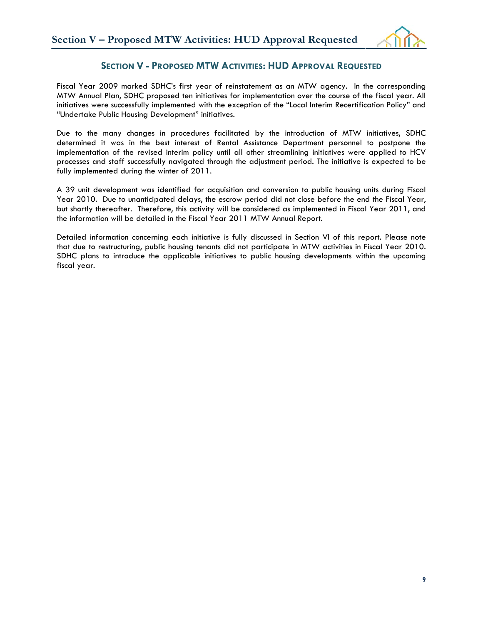

## **SECTION V - PROPOSED MTW ACTIVITIES: HUD APPROVAL REQUESTED**

Fiscal Year 2009 marked SDHC's first year of reinstatement as an MTW agency. In the corresponding MTW Annual Plan, SDHC proposed ten initiatives for implementation over the course of the fiscal year. All initiatives were successfully implemented with the exception of the "Local Interim Recertification Policy" and "Undertake Public Housing Development" initiatives.

Due to the many changes in procedures facilitated by the introduction of MTW initiatives, SDHC determined it was in the best interest of Rental Assistance Department personnel to postpone the implementation of the revised interim policy until all other streamlining initiatives were applied to HCV processes and staff successfully navigated through the adjustment period. The initiative is expected to be fully implemented during the winter of 2011.

A 39 unit development was identified for acquisition and conversion to public housing units during Fiscal Year 2010. Due to unanticipated delays, the escrow period did not close before the end the Fiscal Year, but shortly thereafter. Therefore, this activity will be considered as implemented in Fiscal Year 2011, and the information will be detailed in the Fiscal Year 2011 MTW Annual Report.

Detailed information concerning each initiative is fully discussed in Section VI of this report. Please note that due to restructuring, public housing tenants did not participate in MTW activities in Fiscal Year 2010. SDHC plans to introduce the applicable initiatives to public housing developments within the upcoming fiscal year.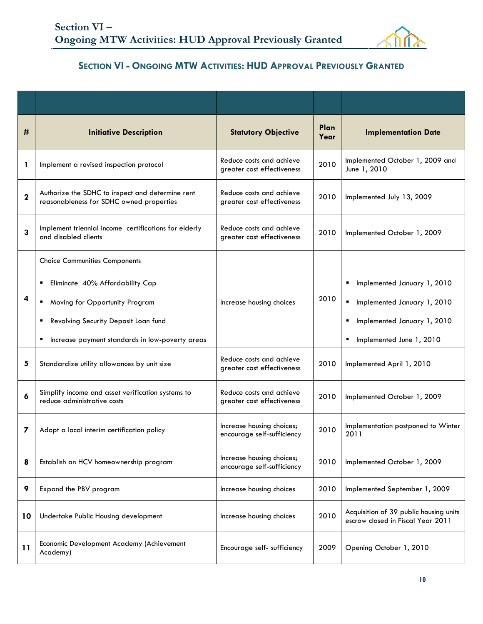

## **SECTION VI - ONGOING MTW ACTIVITIES: HUD APPROVAL PREVIOUSLY GRANTED**

| #           | <b>Initiative Description</b>                                                                                                                                                                                  | <b>Statutory Objective</b>                              | Plan<br>Year | <b>Implementation Date</b>                                                                                                                 |
|-------------|----------------------------------------------------------------------------------------------------------------------------------------------------------------------------------------------------------------|---------------------------------------------------------|--------------|--------------------------------------------------------------------------------------------------------------------------------------------|
| 1           | Implement a revised inspection protocol                                                                                                                                                                        | Reduce costs and achieve<br>greater cost effectiveness  | 2010         | Implemented October 1, 2009 and<br>June 1, 2010                                                                                            |
| $\mathbf 2$ | Authorize the SDHC to inspect and determine rent<br>reasonableness for SDHC owned properties                                                                                                                   | Reduce costs and achieve<br>greater cost effectiveness  | 2010         | Implemented July 13, 2009                                                                                                                  |
| 3           | Implement triennial income certifications for elderly<br>and disabled clients                                                                                                                                  | Reduce costs and achieve<br>greater cost effectiveness  | 2010         | Implemented October 1, 2009                                                                                                                |
| 4           | <b>Choice Communities Components</b><br>Eliminate 40% Affordability Cap<br>Moving for Opportunity Program<br>٠<br>Revolving Security Deposit Loan fund<br>Increase payment standards in low-poverty areas<br>п | Increase housing choices                                | 2010         | Implemented January 1, 2010<br>٠<br>н.<br>Implemented January 1, 2010<br>Implemented January 1, 2010<br>٠<br>Implemented June 1, 2010<br>٠ |
| 5           | Standardize utility allowances by unit size                                                                                                                                                                    | Reduce costs and achieve<br>greater cost effectiveness  | 2010         | Implemented April 1, 2010                                                                                                                  |
| 6           | Simplify income and asset verification systems to<br>reduce administrative costs                                                                                                                               | Reduce costs and achieve<br>greater cost effectiveness  | 2010         | Implemented October 1, 2009                                                                                                                |
| 7           | Adopt a local interim certification policy                                                                                                                                                                     | Increase housing choices;<br>encourage self-sufficiency | 2010         | Implementation postponed to Winter<br>2011                                                                                                 |
| 8           | Establish an HCV homeownership program                                                                                                                                                                         | Increase housing choices;<br>encourage self-sufficiency | 2010         | Implemented October 1, 2009                                                                                                                |
| 9           | Expand the PBV program                                                                                                                                                                                         | Increase housing choices                                | 2010         | Implemented September 1, 2009                                                                                                              |
| 10          | Undertake Public Housing development                                                                                                                                                                           | Increase housing choices                                | 2010         | Acquisition of 39 public housing units<br>escrow closed in Fiscal Year 2011                                                                |
| 11          | Economic Development Academy (Achievement<br>Academy)                                                                                                                                                          | Encourage self- sufficiency                             | 2009         | Opening October 1, 2010                                                                                                                    |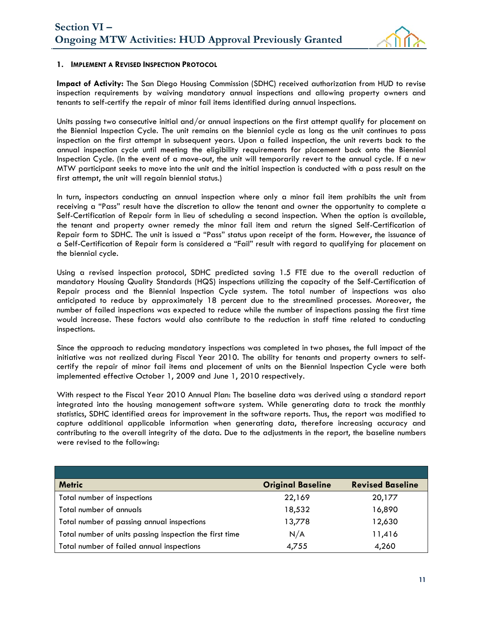

#### **1. IMPLEMENT A REVISED INSPECTION PROTOCOL**

**Impact of Activity:** The San Diego Housing Commission (SDHC) received authorization from HUD to revise inspection requirements by waiving mandatory annual inspections and allowing property owners and tenants to self-certify the repair of minor fail items identified during annual inspections.

Units passing two consecutive initial and/or annual inspections on the first attempt qualify for placement on the Biennial Inspection Cycle. The unit remains on the biennial cycle as long as the unit continues to pass inspection on the first attempt in subsequent years. Upon a failed inspection, the unit reverts back to the annual inspection cycle until meeting the eligibility requirements for placement back onto the Biennial Inspection Cycle. (In the event of a move-out, the unit will temporarily revert to the annual cycle. If a new MTW participant seeks to move into the unit and the initial inspection is conducted with a pass result on the first attempt, the unit will regain biennial status.)

In turn, inspectors conducting an annual inspection where only a minor fail item prohibits the unit from receiving a "Pass" result have the discretion to allow the tenant and owner the opportunity to complete a Self-Certification of Repair form in lieu of scheduling a second inspection. When the option is available, the tenant and property owner remedy the minor fail item and return the signed Self-Certification of Repair form to SDHC. The unit is issued a "Pass" status upon receipt of the form. However, the issuance of a Self-Certification of Repair form is considered a "Fail" result with regard to qualifying for placement on the biennial cycle.

Using a revised inspection protocol, SDHC predicted saving 1.5 FTE due to the overall reduction of mandatory Housing Quality Standards (HQS) inspections utilizing the capacity of the Self-Certification of Repair process and the Biennial Inspection Cycle system. The total number of inspections was also anticipated to reduce by approximately 18 percent due to the streamlined processes. Moreover, the number of failed inspections was expected to reduce while the number of inspections passing the first time would increase. These factors would also contribute to the reduction in staff time related to conducting inspections.

Since the approach to reducing mandatory inspections was completed in two phases, the full impact of the initiative was not realized during Fiscal Year 2010. The ability for tenants and property owners to selfcertify the repair of minor fail items and placement of units on the Biennial Inspection Cycle were both implemented effective October 1, 2009 and June 1, 2010 respectively.

With respect to the Fiscal Year 2010 Annual Plan: The baseline data was derived using a standard report integrated into the housing management software system. While generating data to track the monthly statistics, SDHC identified areas for improvement in the software reports. Thus, the report was modified to capture additional applicable information when generating data, therefore increasing accuracy and contributing to the overall integrity of the data. Due to the adjustments in the report, the baseline numbers were revised to the following:

| <b>Metric</b>                                           | <b>Original Baseline</b> | <b>Revised Baseline</b> |
|---------------------------------------------------------|--------------------------|-------------------------|
| Total number of inspections                             | 22,169                   | 20,177                  |
| Total number of annuals                                 | 18,532                   | 16,890                  |
| Total number of passing annual inspections              | 13,778                   | 12,630                  |
| Total number of units passing inspection the first time | N/A                      | 11,416                  |
| Total number of failed annual inspections               | 4,755                    | 4,260                   |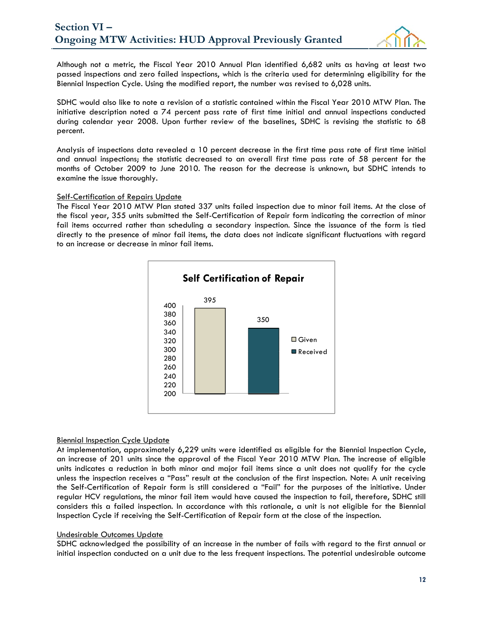

Although not a metric, the Fiscal Year 2010 Annual Plan identified 6,682 units as having at least two passed inspections and zero failed inspections, which is the criteria used for determining eligibility for the Biennial Inspection Cycle. Using the modified report, the number was revised to 6,028 units.

SDHC would also like to note a revision of a statistic contained within the Fiscal Year 2010 MTW Plan. The initiative description noted a 74 percent pass rate of first time initial and annual inspections conducted during calendar year 2008. Upon further review of the baselines, SDHC is revising the statistic to 68 percent.

Analysis of inspections data revealed a 10 percent decrease in the first time pass rate of first time initial and annual inspections; the statistic decreased to an overall first time pass rate of 58 percent for the months of October 2009 to June 2010. The reason for the decrease is unknown, but SDHC intends to examine the issue thoroughly.

#### Self-Certification of Repairs Update

The Fiscal Year 2010 MTW Plan stated 337 units failed inspection due to minor fail items. At the close of the fiscal year, 355 units submitted the Self-Certification of Repair form indicating the correction of minor fail items occurred rather than scheduling a secondary inspection. Since the issuance of the form is tied directly to the presence of minor fail items, the data does not indicate significant fluctuations with regard to an increase or decrease in minor fail items.



#### Biennial Inspection Cycle Update

At implementation, approximately 6,229 units were identified as eligible for the Biennial Inspection Cycle, an increase of 201 units since the approval of the Fiscal Year 2010 MTW Plan. The increase of eligible units indicates a reduction in both minor and major fail items since a unit does not qualify for the cycle unless the inspection receives a "Pass" result at the conclusion of the first inspection. Note: A unit receiving the Self-Certification of Repair form is still considered a "Fail" for the purposes of the initiative. Under regular HCV regulations, the minor fail item would have caused the inspection to fail, therefore, SDHC still considers this a failed inspection. In accordance with this rationale, a unit is not eligible for the Biennial Inspection Cycle if receiving the Self-Certification of Repair form at the close of the inspection.

#### Undesirable Outcomes Update

SDHC acknowledged the possibility of an increase in the number of fails with regard to the first annual or initial inspection conducted on a unit due to the less frequent inspections. The potential undesirable outcome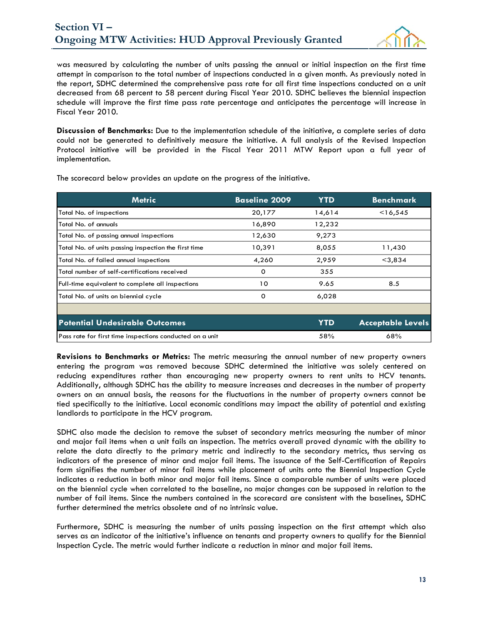

was measured by calculating the number of units passing the annual or initial inspection on the first time attempt in comparison to the total number of inspections conducted in a given month. As previously noted in the report, SDHC determined the comprehensive pass rate for all first time inspections conducted on a unit decreased from 68 percent to 58 percent during Fiscal Year 2010. SDHC believes the biennial inspection schedule will improve the first time pass rate percentage and anticipates the percentage will increase in Fiscal Year 2010.

**Discussion of Benchmarks:** Due to the implementation schedule of the initiative, a complete series of data could not be generated to definitively measure the initiative. A full analysis of the Revised Inspection Protocol initiative will be provided in the Fiscal Year 2011 MTW Report upon a full year of implementation.

| <b>Metric</b>                                            | <b>Baseline 2009</b> | <b>YTD</b> | <b>Benchmark</b>         |
|----------------------------------------------------------|----------------------|------------|--------------------------|
| Total No. of inspections                                 | 20,177               | 14,614     | <16,545                  |
| Total No. of annuals                                     | 16,890               | 12,232     |                          |
| Total No. of passing annual inspections                  | 12,630               | 9,273      |                          |
| Total No. of units passing inspection the first time     | 10,391               | 8,055      | 11,430                   |
| Total No. of failed annual inspections                   | 4,260                | 2,959      | $<$ 3,834                |
| Total number of self-certifications received             | O                    | 355        |                          |
| Full-time equivalent to complete all inspections         | 10                   | 9.65       | 8.5                      |
| Total No. of units on biennial cycle                     | 0                    | 6,028      |                          |
|                                                          |                      |            |                          |
| <b>Potential Undesirable Outcomes</b>                    |                      | <b>YTD</b> | <b>Acceptable Levels</b> |
| Pass rate for first time inspections conducted on a unit |                      | 58%        | 68%                      |

The scorecard below provides an update on the progress of the initiative.

**Revisions to Benchmarks or Metrics:** The metric measuring the annual number of new property owners entering the program was removed because SDHC determined the initiative was solely centered on reducing expenditures rather than encouraging new property owners to rent units to HCV tenants. Additionally, although SDHC has the ability to measure increases and decreases in the number of property owners on an annual basis, the reasons for the fluctuations in the number of property owners cannot be tied specifically to the initiative. Local economic conditions may impact the ability of potential and existing landlords to participate in the HCV program.

SDHC also made the decision to remove the subset of secondary metrics measuring the number of minor and major fail items when a unit fails an inspection. The metrics overall proved dynamic with the ability to relate the data directly to the primary metric and indirectly to the secondary metrics, thus serving as indicators of the presence of minor and major fail items. The issuance of the Self-Certification of Repairs form signifies the number of minor fail items while placement of units onto the Biennial Inspection Cycle indicates a reduction in both minor and major fail items. Since a comparable number of units were placed on the biennial cycle when correlated to the baseline, no major changes can be supposed in relation to the number of fail items. Since the numbers contained in the scorecard are consistent with the baselines, SDHC further determined the metrics obsolete and of no intrinsic value.

Furthermore, SDHC is measuring the number of units passing inspection on the first attempt which also serves as an indicator of the initiative's influence on tenants and property owners to qualify for the Biennial Inspection Cycle. The metric would further indicate a reduction in minor and major fail items.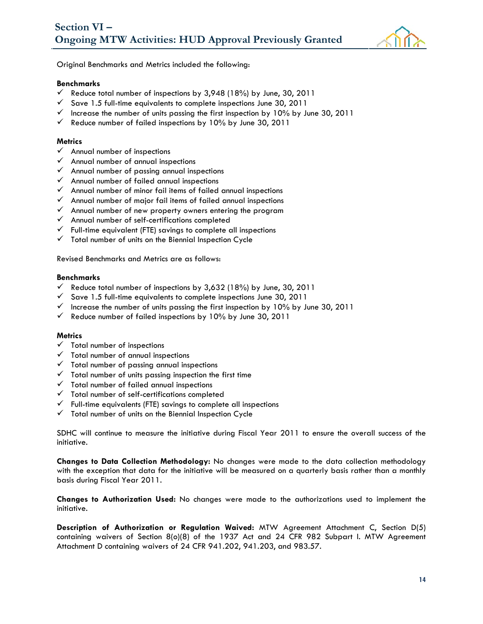

Original Benchmarks and Metrics included the following:

#### **Benchmarks**

- $\checkmark$  Reduce total number of inspections by 3,948 (18%) by June, 30, 2011
- $\checkmark$  Save 1.5 full-time equivalents to complete inspections June 30, 2011
- $\checkmark$  Increase the number of units passing the first inspection by 10% by June 30, 2011
- $\checkmark$  Reduce number of failed inspections by 10% by June 30, 2011

#### **Metrics**

- $\checkmark$  Annual number of inspections
- $\checkmark$  Annual number of annual inspections
- $\checkmark$  Annual number of passing annual inspections
- $\checkmark$  Annual number of failed annual inspections
- $\checkmark$  Annual number of minor fail items of failed annual inspections
- $\checkmark$  Annual number of major fail items of failed annual inspections
- $\checkmark$  Annual number of new property owners entering the program
- $\checkmark$  Annual number of self-certifications completed
- $\checkmark$  Full-time equivalent (FTE) savings to complete all inspections
- $\checkmark$  Total number of units on the Biennial Inspection Cycle

Revised Benchmarks and Metrics are as follows:

#### **Benchmarks**

- $\checkmark$  Reduce total number of inspections by 3,632 (18%) by June, 30, 2011
- $\checkmark$  Save 1.5 full-time equivalents to complete inspections June 30, 2011
- $\checkmark$  Increase the number of units passing the first inspection by 10% by June 30, 2011
- $\checkmark$  Reduce number of failed inspections by 10% by June 30, 2011

#### **Metrics**

- $\checkmark$  Total number of inspections
- $\checkmark$  Total number of annual inspections
- $\checkmark$  Total number of passing annual inspections
- $\checkmark$  Total number of units passing inspection the first time
- $\checkmark$  Total number of failed annual inspections
- $\checkmark$  Total number of self-certifications completed
- $\checkmark$  Full-time equivalents (FTE) savings to complete all inspections
- $\checkmark$  Total number of units on the Biennial Inspection Cycle

SDHC will continue to measure the initiative during Fiscal Year 2011 to ensure the overall success of the initiative.

**Changes to Data Collection Methodology:** No changes were made to the data collection methodology with the exception that data for the initiative will be measured on a quarterly basis rather than a monthly basis during Fiscal Year 2011.

**Changes to Authorization Used:** No changes were made to the authorizations used to implement the initiative.

**Description of Authorization or Regulation Waived:** MTW Agreement Attachment C, Section D(5) containing waivers of Section 8(o)(8) of the 1937 Act and 24 CFR 982 Subpart I. MTW Agreement Attachment D containing waivers of 24 CFR 941.202, 941.203, and 983.57.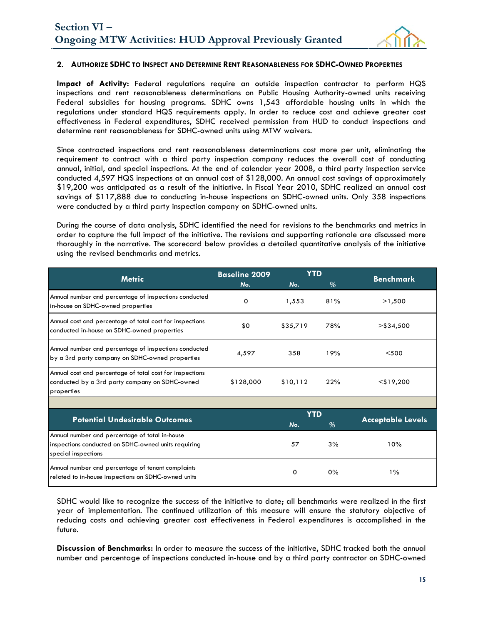

#### **2. AUTHORIZE SDHC TO INSPECT AND DETERMINE RENT REASONABLENESS FOR SDHC-OWNED PROPERTIES**

**Impact of Activity:** Federal regulations require an outside inspection contractor to perform HQS inspections and rent reasonableness determinations on Public Housing Authority-owned units receiving Federal subsidies for housing programs. SDHC owns 1,543 affordable housing units in which the regulations under standard HQS requirements apply. In order to reduce cost and achieve greater cost effectiveness in Federal expenditures, SDHC received permission from HUD to conduct inspections and determine rent reasonableness for SDHC-owned units using MTW waivers.

Since contracted inspections and rent reasonableness determinations cost more per unit, eliminating the requirement to contract with a third party inspection company reduces the overall cost of conducting annual, initial, and special inspections. At the end of calendar year 2008, a third party inspection service conducted 4,597 HQS inspections at an annual cost of \$128,000. An annual cost savings of approximately \$19,200 was anticipated as a result of the initiative. In Fiscal Year 2010, SDHC realized an annual cost savings of \$117,888 due to conducting in-house inspections on SDHC-owned units. Only 358 inspections were conducted by a third party inspection company on SDHC-owned units.

During the course of data analysis, SDHC identified the need for revisions to the benchmarks and metrics in order to capture the full impact of the initiative. The revisions and supporting rationale are discussed more thoroughly in the narrative. The scorecard below provides a detailed quantitative analysis of the initiative using the revised benchmarks and metrics.

| <b>Metric</b>                                                                                                                | <b>Baseline 2009</b> | <b>YTD</b> |     | <b>Benchmark</b>         |  |
|------------------------------------------------------------------------------------------------------------------------------|----------------------|------------|-----|--------------------------|--|
|                                                                                                                              | No.                  | No.        | %   |                          |  |
| Annual number and percentage of inspections conducted<br>in-house on SDHC-owned properties                                   | 0                    | 1,553      | 81% | >1,500                   |  |
| Annual cost and percentage of total cost for inspections<br>conducted in-house on SDHC-owned properties                      | \$0                  | \$35,719   | 78% | $>$ \$34,500             |  |
| Annual number and percentage of inspections conducted<br>by a 3rd party company on SDHC-owned properties                     | 4,597                | 358        | 19% | $<$ 500                  |  |
| Annual cost and percentage of total cost for inspections<br>conducted by a 3rd party company on SDHC-owned<br>properties     | \$128,000            | \$10,112   | 22% | $<$ \$19,200             |  |
|                                                                                                                              |                      |            |     |                          |  |
|                                                                                                                              |                      | <b>YTD</b> |     |                          |  |
| <b>Potential Undesirable Outcomes</b>                                                                                        |                      | No.        | %   | <b>Acceptable Levels</b> |  |
| Annual number and percentage of total in-house<br>inspections conducted on SDHC-owned units requiring<br>special inspections |                      | 57         | 3%  | 10%                      |  |
| Annual number and percentage of tenant complaints<br>related to in-house inspections on SDHC-owned units                     |                      | $\Omega$   | 0%  | $1\%$                    |  |

SDHC would like to recognize the success of the initiative to date; all benchmarks were realized in the first year of implementation. The continued utilization of this measure will ensure the statutory objective of reducing costs and achieving greater cost effectiveness in Federal expenditures is accomplished in the future.

**Discussion of Benchmarks:** In order to measure the success of the initiative, SDHC tracked both the annual number and percentage of inspections conducted in-house and by a third party contractor on SDHC-owned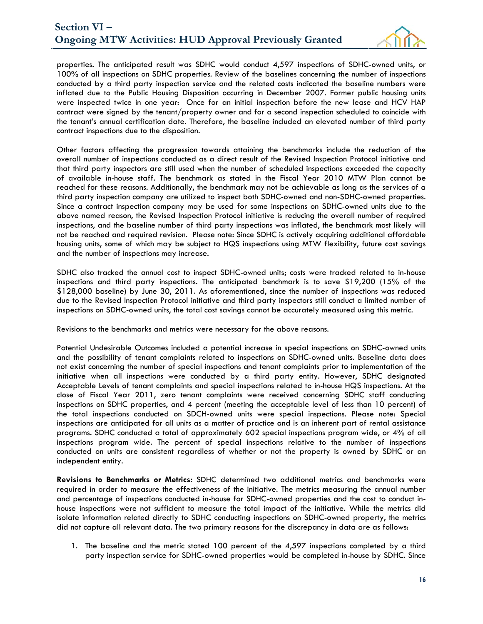

properties. The anticipated result was SDHC would conduct 4,597 inspections of SDHC-owned units, or 100% of all inspections on SDHC properties. Review of the baselines concerning the number of inspections conducted by a third party inspection service and the related costs indicated the baseline numbers were inflated due to the Public Housing Disposition occurring in December 2007. Former public housing units were inspected twice in one year: Once for an initial inspection before the new lease and HCV HAP contract were signed by the tenant/property owner and for a second inspection scheduled to coincide with the tenant's annual certification date. Therefore, the baseline included an elevated number of third party contract inspections due to the disposition.

Other factors affecting the progression towards attaining the benchmarks include the reduction of the overall number of inspections conducted as a direct result of the Revised Inspection Protocol initiative and that third party inspectors are still used when the number of scheduled inspections exceeded the capacity of available in-house staff. The benchmark as stated in the Fiscal Year 2010 MTW Plan cannot be reached for these reasons. Additionally, the benchmark may not be achievable as long as the services of a third party inspection company are utilized to inspect both SDHC-owned and non-SDHC-owned properties. Since a contract inspection company may be used for some inspections on SDHC-owned units due to the above named reason, the Revised Inspection Protocol initiative is reducing the overall number of required inspections, and the baseline number of third party inspections was inflated, the benchmark most likely will not be reached and required revision. Please note: Since SDHC is actively acquiring additional affordable housing units, some of which may be subject to HQS inspections using MTW flexibility, future cost savings and the number of inspections may increase.

SDHC also tracked the annual cost to inspect SDHC-owned units; costs were tracked related to in-house inspections and third party inspections. The anticipated benchmark is to save \$19,200 (15% of the \$128,000 baseline) by June 30, 2011. As aforementioned, since the number of inspections was reduced due to the Revised Inspection Protocol initiative and third party inspectors still conduct a limited number of inspections on SDHC-owned units, the total cost savings cannot be accurately measured using this metric.

Revisions to the benchmarks and metrics were necessary for the above reasons.

Potential Undesirable Outcomes included a potential increase in special inspections on SDHC-owned units and the possibility of tenant complaints related to inspections on SDHC-owned units. Baseline data does not exist concerning the number of special inspections and tenant complaints prior to implementation of the initiative when all inspections were conducted by a third party entity. However, SDHC designated Acceptable Levels of tenant complaints and special inspections related to in-house HQS inspections. At the close of Fiscal Year 2011, zero tenant complaints were received concerning SDHC staff conducting inspections on SDHC properties, and 4 percent (meeting the acceptable level of less than 10 percent) of the total inspections conducted on SDCH-owned units were special inspections. Please note: Special inspections are anticipated for all units as a matter of practice and is an inherent part of rental assistance programs. SDHC conducted a total of approximately 602 special inspections program wide, or 4% of all inspections program wide. The percent of special inspections relative to the number of inspections conducted on units are consistent regardless of whether or not the property is owned by SDHC or an independent entity.

**Revisions to Benchmarks or Metrics:** SDHC determined two additional metrics and benchmarks were required in order to measure the effectiveness of the initiative. The metrics measuring the annual number and percentage of inspections conducted in-house for SDHC-owned properties and the cost to conduct inhouse inspections were not sufficient to measure the total impact of the initiative. While the metrics did isolate information related directly to SDHC conducting inspections on SDHC-owned property, the metrics did not capture all relevant data. The two primary reasons for the discrepancy in data are as follows:

1. The baseline and the metric stated 100 percent of the 4,597 inspections completed by a third party inspection service for SDHC-owned properties would be completed in-house by SDHC. Since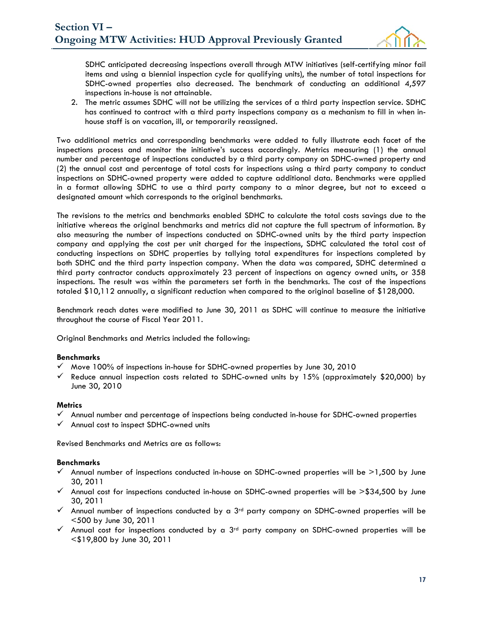

SDHC anticipated decreasing inspections overall through MTW initiatives (self-certifying minor fail items and using a biennial inspection cycle for qualifying units), the number of total inspections for SDHC-owned properties also decreased. The benchmark of conducting an additional 4,597 inspections in-house is not attainable.

2. The metric assumes SDHC will not be utilizing the services of a third party inspection service. SDHC has continued to contract with a third party inspections company as a mechanism to fill in when inhouse staff is on vacation, ill, or temporarily reassigned.

Two additional metrics and corresponding benchmarks were added to fully illustrate each facet of the inspections process and monitor the initiative's success accordingly. Metrics measuring (1) the annual number and percentage of inspections conducted by a third party company on SDHC-owned property and (2) the annual cost and percentage of total costs for inspections using a third party company to conduct inspections on SDHC-owned property were added to capture additional data. Benchmarks were applied in a format allowing SDHC to use a third party company to a minor degree, but not to exceed a designated amount which corresponds to the original benchmarks.

The revisions to the metrics and benchmarks enabled SDHC to calculate the total costs savings due to the initiative whereas the original benchmarks and metrics did not capture the full spectrum of information. By also measuring the number of inspections conducted on SDHC-owned units by the third party inspection company and applying the cost per unit charged for the inspections, SDHC calculated the total cost of conducting inspections on SDHC properties by tallying total expenditures for inspections completed by both SDHC and the third party inspection company. When the data was compared, SDHC determined a third party contractor conducts approximately 23 percent of inspections on agency owned units, or 358 inspections. The result was within the parameters set forth in the benchmarks. The cost of the inspections totaled \$10,112 annually, a significant reduction when compared to the original baseline of \$128,000.

Benchmark reach dates were modified to June 30, 2011 as SDHC will continue to measure the initiative throughout the course of Fiscal Year 2011.

Original Benchmarks and Metrics included the following:

#### **Benchmarks**

- $\checkmark$  Move 100% of inspections in-house for SDHC-owned properties by June 30, 2010
- $\checkmark$  Reduce annual inspection costs related to SDHC-owned units by 15% (approximately \$20,000) by June 30, 2010

#### **Metrics**

- $\checkmark$  Annual number and percentage of inspections being conducted in-house for SDHC-owned properties
- Annual cost to inspect SDHC-owned units

Revised Benchmarks and Metrics are as follows:

#### **Benchmarks**

- $\checkmark$  Annual number of inspections conducted in-house on SDHC-owned properties will be  $>1,500$  by June 30, 2011
- $\checkmark$  Annual cost for inspections conducted in-house on SDHC-owned properties will be  $\geq$  \$34,500 by June 30, 2011
- $\checkmark$  Annual number of inspections conducted by a 3<sup>rd</sup> party company on SDHC-owned properties will be <500 by June 30, 2011
- Annual cost for inspections conducted by a  $3<sup>rd</sup>$  party company on SDHC-owned properties will be <\$19,800 by June 30, 2011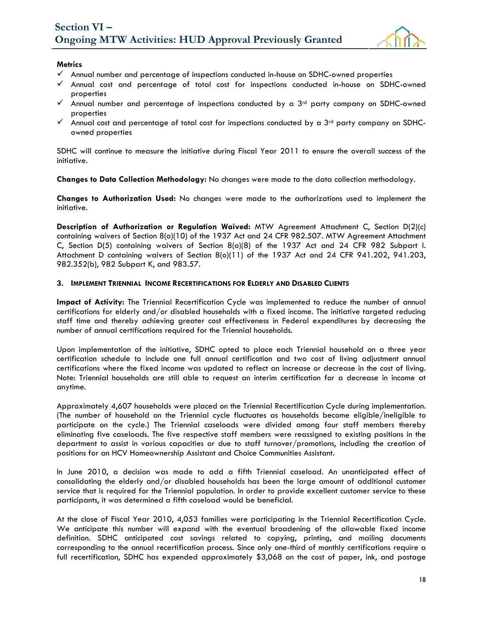

#### **Metrics**

- $\checkmark$  Annual number and percentage of inspections conducted in-house on SDHC-owned properties
- $\checkmark$  Annual cost and percentage of total cost for inspections conducted in-house on SDHC-owned properties
- $\checkmark$  Annual number and percentage of inspections conducted by a 3<sup>rd</sup> party company on SDHC-owned properties
- Annual cost and percentage of total cost for inspections conducted by a  $3<sup>rd</sup>$  party company on SDHCowned properties

SDHC will continue to measure the initiative during Fiscal Year 2011 to ensure the overall success of the initiative.

**Changes to Data Collection Methodology:** No changes were made to the data collection methodology.

**Changes to Authorization Used:** No changes were made to the authorizations used to implement the initiative.

**Description of Authorization or Regulation Waived:** MTW Agreement Attachment C, Section D(2)(c) containing waivers of Section 8(o)(10) of the 1937 Act and 24 CFR 982.507. MTW Agreement Attachment C, Section D(5) containing waivers of Section 8(o)(8) of the 1937 Act and 24 CFR 982 Subpart I. Attachment D containing waivers of Section 8(o)(11) of the 1937 Act and 24 CFR 941.202, 941.203, 982.352(b), 982 Subpart K, and 983.57.

#### **3. IMPLEMENT TRIENNIAL INCOME RECERTIFICATIONS FOR ELDERLY AND DISABLED CLIENTS**

**Impact of Activity:** The Triennial Recertification Cycle was implemented to reduce the number of annual certifications for elderly and/or disabled households with a fixed income. The initiative targeted reducing staff time and thereby achieving greater cost effectiveness in Federal expenditures by decreasing the number of annual certifications required for the Triennial households.

Upon implementation of the initiative, SDHC opted to place each Triennial household on a three year certification schedule to include one full annual certification and two cost of living adjustment annual certifications where the fixed income was updated to reflect an increase or decrease in the cost of living. Note: Triennial households are still able to request an interim certification for a decrease in income at anytime.

Approximately 4,607 households were placed on the Triennial Recertification Cycle during implementation. (The number of household on the Triennial cycle fluctuates as households become eligible/ineligible to participate on the cycle.) The Triennial caseloads were divided among four staff members thereby eliminating five caseloads. The five respective staff members were reassigned to existing positions in the department to assist in various capacities or due to staff turnover/promotions, including the creation of positions for an HCV Homeownership Assistant and Choice Communities Assistant.

In June 2010, a decision was made to add a fifth Triennial caseload. An unanticipated effect of consolidating the elderly and/or disabled households has been the large amount of additional customer service that is required for the Triennial population. In order to provide excellent customer service to these participants, it was determined a fifth caseload would be beneficial.

At the close of Fiscal Year 2010, 4,053 families were participating in the Triennial Recertification Cycle. We anticipate this number will expand with the eventual broadening of the allowable fixed income definition. SDHC anticipated cost savings related to copying, printing, and mailing documents corresponding to the annual recertification process. Since only one-third of monthly certifications require a full recertification, SDHC has expended approximately \$3,068 on the cost of paper, ink, and postage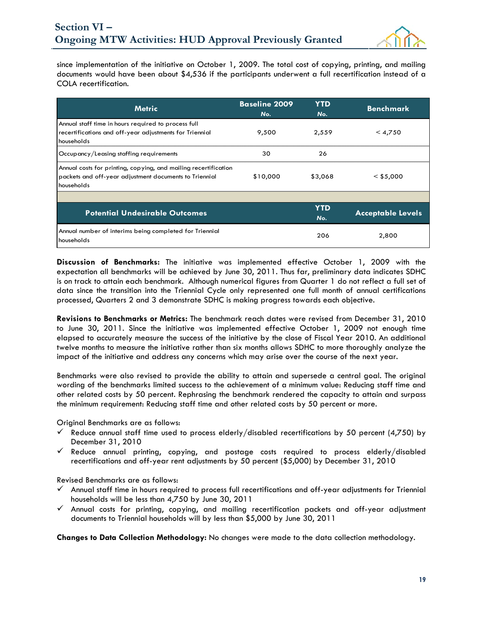

since implementation of the initiative on October 1, 2009. The total cost of copying, printing, and mailing documents would have been about \$4,536 if the participants underwent a full recertification instead of a COLA recertification.

| <b>Metric</b>                                                                                                                           | <b>Baseline 2009</b><br>No. | <b>YTD</b><br>No. | <b>Benchmark</b>         |
|-----------------------------------------------------------------------------------------------------------------------------------------|-----------------------------|-------------------|--------------------------|
| Annual staff time in hours required to process full<br>recertifications and off-year adjustments for Triennial<br>households            | 9,500                       | 2,559             | < 4,750                  |
| Occupancy/Leasing staffing requirements                                                                                                 | 30                          | 26                |                          |
| Annual costs for printing, copying, and mailing recertification<br>packets and off-year adjustment documents to Triennial<br>households | \$10,000                    | \$3,068           | $<$ \$5,000              |
|                                                                                                                                         |                             |                   |                          |
| <b>Potential Undesirable Outcomes</b>                                                                                                   |                             | <b>YTD</b><br>No. | <b>Acceptable Levels</b> |
| Annual number of interims being completed for Triennial<br>households                                                                   |                             | 206               | 2,800                    |

**Discussion of Benchmarks:** The initiative was implemented effective October 1, 2009 with the expectation all benchmarks will be achieved by June 30, 2011. Thus far, preliminary data indicates SDHC is on track to attain each benchmark. Although numerical figures from Quarter 1 do not reflect a full set of data since the transition into the Triennial Cycle only represented one full month of annual certifications processed, Quarters 2 and 3 demonstrate SDHC is making progress towards each objective.

**Revisions to Benchmarks or Metrics:** The benchmark reach dates were revised from December 31, 2010 to June 30, 2011. Since the initiative was implemented effective October 1, 2009 not enough time elapsed to accurately measure the success of the initiative by the close of Fiscal Year 2010. An additional twelve months to measure the initiative rather than six months allows SDHC to more thoroughly analyze the impact of the initiative and address any concerns which may arise over the course of the next year.

Benchmarks were also revised to provide the ability to attain and supersede a central goal. The original wording of the benchmarks limited success to the achievement of a minimum value: Reducing staff time and other related costs by 50 percent. Rephrasing the benchmark rendered the capacity to attain and surpass the minimum requirement: Reducing staff time and other related costs by 50 percent or more.

Original Benchmarks are as follows:

- Reduce annual staff time used to process elderly/disabled recertifications by 50 percent (4,750) by December 31, 2010
- $\checkmark$  Reduce annual printing, copying, and postage costs required to process elderly/disabled recertifications and off-year rent adjustments by 50 percent (\$5,000) by December 31, 2010

Revised Benchmarks are as follows:

- Annual staff time in hours required to process full recertifications and off-year adjustments for Triennial households will be less than 4,750 by June 30, 2011
- $\checkmark$  Annual costs for printing, copying, and mailing recertification packets and off-year adjustment documents to Triennial households will by less than \$5,000 by June 30, 2011

**Changes to Data Collection Methodology:** No changes were made to the data collection methodology.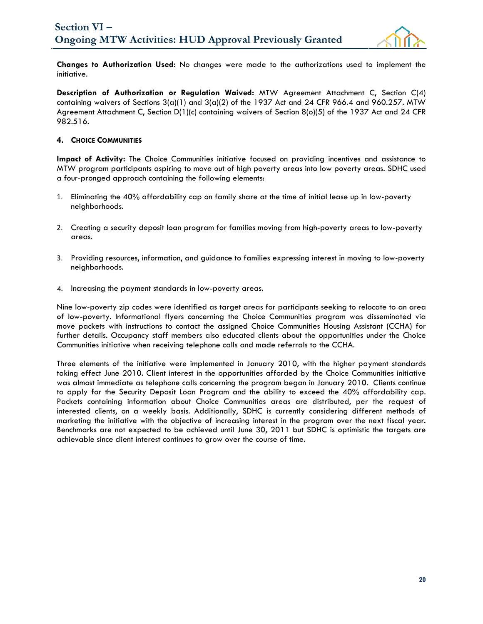

**Changes to Authorization Used:** No changes were made to the authorizations used to implement the initiative.

**Description of Authorization or Regulation Waived:** MTW Agreement Attachment C, Section C(4) containing waivers of Sections  $3(a)(1)$  and  $3(a)(2)$  of the 1937 Act and 24 CFR 966.4 and 960.257. MTW Agreement Attachment C, Section D(1)(c) containing waivers of Section 8(o)(5) of the 1937 Act and 24 CFR 982.516.

#### **4. CHOICE COMMUNITIES**

**Impact of Activity:** The Choice Communities initiative focused on providing incentives and assistance to MTW program participants aspiring to move out of high poverty areas into low poverty areas. SDHC used a four-pronged approach containing the following elements:

- 1. Eliminating the 40% affordability cap on family share at the time of initial lease up in low-poverty neighborhoods.
- 2. Creating a security deposit loan program for families moving from high-poverty areas to low-poverty areas.
- 3. Providing resources, information, and guidance to families expressing interest in moving to low-poverty neighborhoods.
- 4. Increasing the payment standards in low-poverty areas.

Nine low-poverty zip codes were identified as target areas for participants seeking to relocate to an area of low-poverty. Informational flyers concerning the Choice Communities program was disseminated via move packets with instructions to contact the assigned Choice Communities Housing Assistant (CCHA) for further details. Occupancy staff members also educated clients about the opportunities under the Choice Communities initiative when receiving telephone calls and made referrals to the CCHA.

Three elements of the initiative were implemented in January 2010, with the higher payment standards taking effect June 2010. Client interest in the opportunities afforded by the Choice Communities initiative was almost immediate as telephone calls concerning the program began in January 2010. Clients continue to apply for the Security Deposit Loan Program and the ability to exceed the 40% affordability cap. Packets containing information about Choice Communities areas are distributed, per the request of interested clients, on a weekly basis. Additionally, SDHC is currently considering different methods of marketing the initiative with the objective of increasing interest in the program over the next fiscal year. Benchmarks are not expected to be achieved until June 30, 2011 but SDHC is optimistic the targets are achievable since client interest continues to grow over the course of time.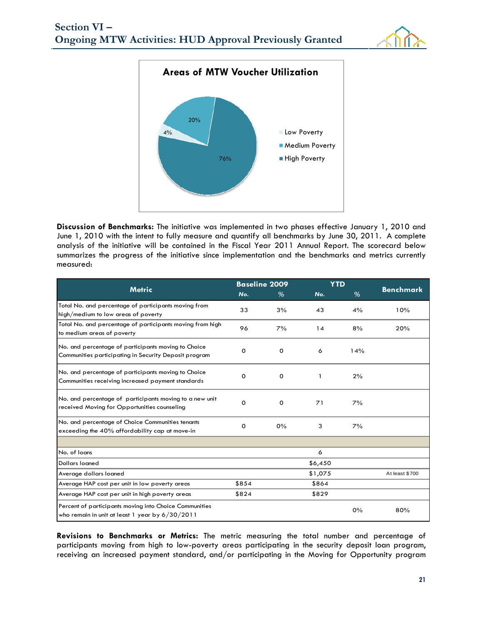



**Discussion of Benchmarks:** The initiative was implemented in two phases effective January 1, 2010 and June 1, 2010 with the intent to fully measure and quantify all benchmarks by June 30, 2011. A complete analysis of the initiative will be contained in the Fiscal Year 2011 Annual Report. The scorecard below summarizes the progress of the initiative since implementation and the benchmarks and metrics currently measured:

|                                                                                                              |          | <b>Baseline 2009</b> |         | <b>YTD</b> |                  |
|--------------------------------------------------------------------------------------------------------------|----------|----------------------|---------|------------|------------------|
| <b>Metric</b>                                                                                                | No.      | %                    | No.     | %          | <b>Benchmark</b> |
| Total No. and percentage of participants moving from<br>high/medium to low areas of poverty                  | 33       | 3%                   | 43      | 4%         | 10%              |
| Total No. and percentage of participants moving from high<br>to medium areas of poverty                      | 96       | 7%                   | 14      | 8%         | 20%              |
| No. and percentage of participants moving to Choice<br>Communities participating in Security Deposit program | 0        | 0                    | 6       | 14%        |                  |
| No. and percentage of participants moving to Choice<br>Communities receiving increased payment standards     | 0        | 0                    |         | 2%         |                  |
| No. and percentage of participants moving to a new unit<br>received Moving for Opportunities counseling      | $\Omega$ | 0                    | 71      | 7%         |                  |
| No. and percentage of Choice Communities tenants<br>exceeding the 40% affordability cap at move-in           | 0        | 0%                   | 3       | 7%         |                  |
|                                                                                                              |          |                      |         |            |                  |
| No. of loans                                                                                                 |          |                      | 6       |            |                  |
| <b>Dollars loaned</b>                                                                                        |          |                      | \$6,450 |            |                  |
| Average dollars loaned                                                                                       |          |                      | \$1,075 |            | At least \$700   |
| Average HAP cost per unit in low poverty areas                                                               | \$854    |                      | \$864   |            |                  |
| Average HAP cost per unit in high poverty areas                                                              | \$824    |                      | \$829   |            |                  |
| Percent of participants moving into Choice Communities<br>who remain in unit at least 1 year by $6/30/2011$  |          |                      |         | 0%         | 80%              |

**Revisions to Benchmarks or Metrics:** The metric measuring the total number and percentage of participants moving from high to low-poverty areas participating in the security deposit loan program, receiving an increased payment standard, and/or participating in the Moving for Opportunity program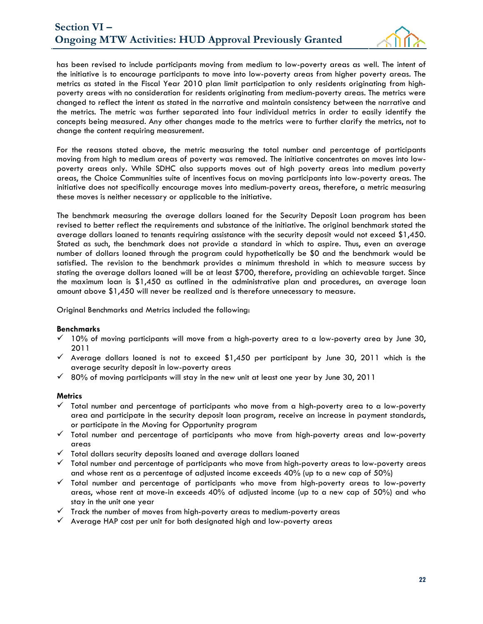

has been revised to include participants moving from medium to low-poverty areas as well. The intent of the initiative is to encourage participants to move into low-poverty areas from higher poverty areas. The metrics as stated in the Fiscal Year 2010 plan limit participation to only residents originating from highpoverty areas with no consideration for residents originating from medium-poverty areas. The metrics were changed to reflect the intent as stated in the narrative and maintain consistency between the narrative and the metrics. The metric was further separated into four individual metrics in order to easily identify the concepts being measured. Any other changes made to the metrics were to further clarify the metrics, not to change the content requiring measurement.

For the reasons stated above, the metric measuring the total number and percentage of participants moving from high to medium areas of poverty was removed. The initiative concentrates on moves into lowpoverty areas only. While SDHC also supports moves out of high poverty areas into medium poverty areas, the Choice Communities suite of incentives focus on moving participants into low-poverty areas. The initiative does not specifically encourage moves into medium-poverty areas, therefore, a metric measuring these moves is neither necessary or applicable to the initiative.

The benchmark measuring the average dollars loaned for the Security Deposit Loan program has been revised to better reflect the requirements and substance of the initiative. The original benchmark stated the average dollars loaned to tenants requiring assistance with the security deposit would not exceed \$1,450. Stated as such, the benchmark does not provide a standard in which to aspire. Thus, even an average number of dollars loaned through the program could hypothetically be \$0 and the benchmark would be satisfied. The revision to the benchmark provides a minimum threshold in which to measure success by stating the average dollars loaned will be at least \$700, therefore, providing an achievable target. Since the maximum loan is \$1,450 as outlined in the administrative plan and procedures, an average loan amount above \$1,450 will never be realized and is therefore unnecessary to measure.

Original Benchmarks and Metrics included the following:

#### **Benchmarks**

- $\checkmark$  10% of moving participants will move from a high-poverty area to a low-poverty area by June 30, 2011
- $\checkmark$  Average dollars loaned is not to exceed \$1,450 per participant by June 30, 2011 which is the average security deposit in low-poverty areas
- $\checkmark$  80% of moving participants will stay in the new unit at least one year by June 30, 2011

#### **Metrics**

- $\checkmark$  Total number and percentage of participants who move from a high-poverty area to a low-poverty area and participate in the security deposit loan program, receive an increase in payment standards, or participate in the Moving for Opportunity program
- $\checkmark$  Total number and percentage of participants who move from high-poverty areas and low-poverty areas
- $\checkmark$  Total dollars security deposits loaned and average dollars loaned
- $\checkmark$  Total number and percentage of participants who move from high-poverty areas to low-poverty areas and whose rent as a percentage of adjusted income exceeds 40% (up to a new cap of 50%)
- $\checkmark$  Total number and percentage of participants who move from high-poverty areas to low-poverty areas, whose rent at move-in exceeds 40% of adjusted income (up to a new cap of 50%) and who stay in the unit one year
- $\checkmark$  Track the number of moves from high-poverty areas to medium-poverty areas
- $\checkmark$  Average HAP cost per unit for both designated high and low-poverty areas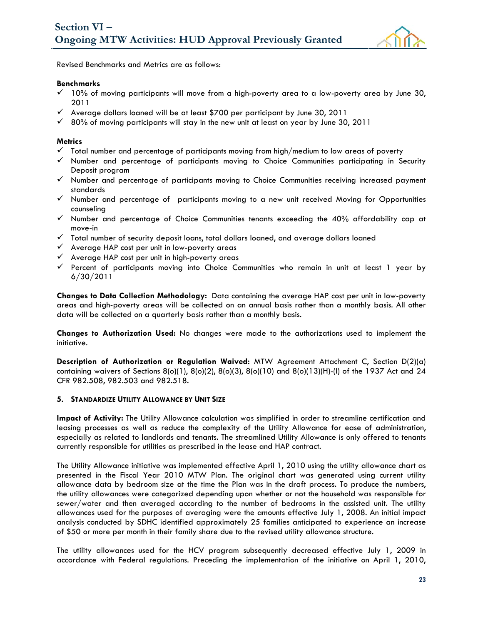

Revised Benchmarks and Metrics are as follows:

#### **Benchmarks**

- $\checkmark$  10% of moving participants will move from a high-poverty area to a low-poverty area by June 30, 2011
- $\checkmark$  Average dollars loaned will be at least \$700 per participant by June 30, 2011
- $\checkmark$  80% of moving participants will stay in the new unit at least on year by June 30, 2011

#### **Metrics**

- $\checkmark$  Total number and percentage of participants moving from high/medium to low areas of poverty
- $\checkmark$  Number and percentage of participants moving to Choice Communities participating in Security Deposit program
- $\checkmark$  Number and percentage of participants moving to Choice Communities receiving increased payment standards
- $\checkmark$  Number and percentage of participants moving to a new unit received Moving for Opportunities counseling
- $\checkmark$  Number and percentage of Choice Communities tenants exceeding the 40% affordability cap at move-in
- $\checkmark$  Total number of security deposit loans, total dollars loaned, and average dollars loaned
- $\checkmark$  Average HAP cost per unit in low-poverty areas
- $\checkmark$  Average HAP cost per unit in high-poverty areas
- $\checkmark$  Percent of participants moving into Choice Communities who remain in unit at least 1 year by 6/30/2011

**Changes to Data Collection Methodology:** Data containing the average HAP cost per unit in low-poverty areas and high-poverty areas will be collected on an annual basis rather than a monthly basis. All other data will be collected on a quarterly basis rather than a monthly basis.

**Changes to Authorization Used:** No changes were made to the authorizations used to implement the initiative.

**Description of Authorization or Regulation Waived:** MTW Agreement Attachment C, Section D(2)(a) containing waivers of Sections  $8(0)(1)$ ,  $8(0)(2)$ ,  $8(0)(3)$ ,  $8(0)(10)$  and  $8(0)(13)(H)$ -(I) of the 1937 Act and 24 CFR 982.508, 982.503 and 982.518.

#### **5. STANDARDIZE UTILITY ALLOWANCE BY UNIT SIZE**

**Impact of Activity:** The Utility Allowance calculation was simplified in order to streamline certification and leasing processes as well as reduce the complexity of the Utility Allowance for ease of administration, especially as related to landlords and tenants. The streamlined Utility Allowance is only offered to tenants currently responsible for utilities as prescribed in the lease and HAP contract.

The Utility Allowance initiative was implemented effective April 1, 2010 using the utility allowance chart as presented in the Fiscal Year 2010 MTW Plan. The original chart was generated using current utility allowance data by bedroom size at the time the Plan was in the draft process. To produce the numbers, the utility allowances were categorized depending upon whether or not the household was responsible for sewer/water and then averaged according to the number of bedrooms in the assisted unit. The utility allowances used for the purposes of averaging were the amounts effective July 1, 2008. An initial impact analysis conducted by SDHC identified approximately 25 families anticipated to experience an increase of \$50 or more per month in their family share due to the revised utility allowance structure.

The utility allowances used for the HCV program subsequently decreased effective July 1, 2009 in accordance with Federal regulations. Preceding the implementation of the initiative on April 1, 2010,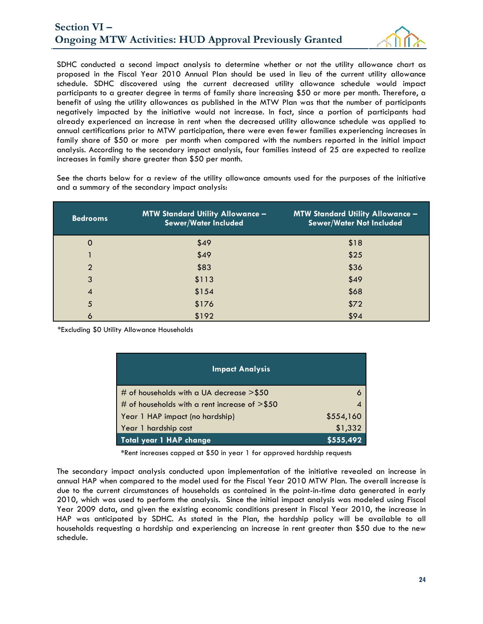

SDHC conducted a second impact analysis to determine whether or not the utility allowance chart as proposed in the Fiscal Year 2010 Annual Plan should be used in lieu of the current utility allowance schedule. SDHC discovered using the current decreased utility allowance schedule would impact participants to a greater degree in terms of family share increasing \$50 or more per month. Therefore, a benefit of using the utility allowances as published in the MTW Plan was that the number of participants negatively impacted by the initiative would not increase. In fact, since a portion of participants had already experienced an increase in rent when the decreased utility allowance schedule was applied to annual certifications prior to MTW participation, there were even fewer families experiencing increases in family share of \$50 or more per month when compared with the numbers reported in the initial impact analysis. According to the secondary impact analysis, four families instead of 25 are expected to realize increases in family share greater than \$50 per month.

See the charts below for a review of the utility allowance amounts used for the purposes of the initiative and a summary of the secondary impact analysis:

| <b>Bedrooms</b> | <b>MTW Standard Utility Allowance -</b><br>Sewer/Water Included | <b>MTW Standard Utility Allowance -</b><br><b>Sewer/Water Not Included</b> |
|-----------------|-----------------------------------------------------------------|----------------------------------------------------------------------------|
| $\mathbf 0$     | \$49                                                            | \$18                                                                       |
|                 | \$49                                                            | \$25                                                                       |
| $\overline{2}$  | \$83                                                            | \$36                                                                       |
| 3               | \$113                                                           | \$49                                                                       |
| $\overline{4}$  | \$154                                                           | \$68                                                                       |
| 5               | \$176                                                           | \$72                                                                       |
| 6               | \$192                                                           | \$94                                                                       |

\*Excluding \$0 Utility Allowance Households

| <b>Impact Analysis</b>                           |           |
|--------------------------------------------------|-----------|
| # of households with a UA decrease $>$ \$50      |           |
| # of households with a rent increase of $>$ \$50 | 4         |
| Year 1 HAP impact (no hardship)                  | \$554,160 |
| Year 1 hardship cost                             | \$1,332   |
| Total year 1 HAP change                          | \$555,492 |

**\***Rent increases capped at \$50 in year 1 for approved hardship requests

The secondary impact analysis conducted upon implementation of the initiative revealed an increase in annual HAP when compared to the model used for the Fiscal Year 2010 MTW Plan. The overall increase is due to the current circumstances of households as contained in the point-in-time data generated in early 2010, which was used to perform the analysis. Since the initial impact analysis was modeled using Fiscal Year 2009 data, and given the existing economic conditions present in Fiscal Year 2010, the increase in HAP was anticipated by SDHC. As stated in the Plan, the hardship policy will be available to all households requesting a hardship and experiencing an increase in rent greater than \$50 due to the new schedule.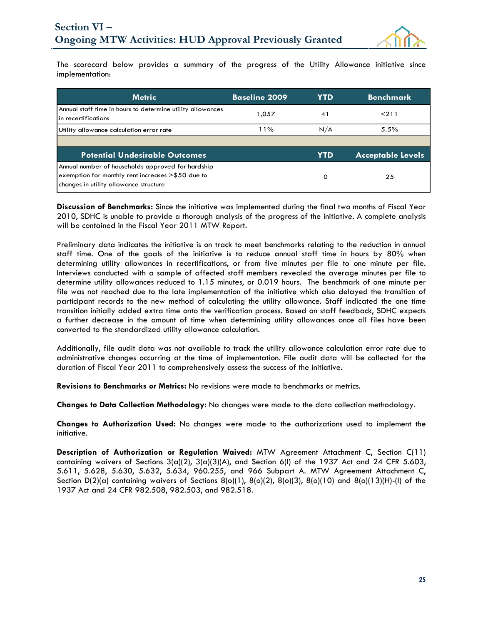

The scorecard below provides a summary of the progress of the Utility Allowance initiative since implementation:

| <b>Metric</b>                                                                                                                                    | <b>Baseline 2009</b> | YTD. | <b>Benchmark</b>         |
|--------------------------------------------------------------------------------------------------------------------------------------------------|----------------------|------|--------------------------|
| Annual staff time in hours to determine utility allowances<br>In recertifications                                                                | 1,057                | 41   | < 211                    |
| Utility allowance calculation error rate                                                                                                         | 11%                  | N/A  | 5.5%                     |
|                                                                                                                                                  |                      |      |                          |
| <b>Potential Undesirable Outcomes</b>                                                                                                            |                      | YTD  | <b>Acceptable Levels</b> |
| Annual number of households approved for hardship<br>exemption for monthly rent increases >\$50 due to<br>changes in utility allowance structure |                      | ο    | 25                       |

**Discussion of Benchmarks:** Since the initiative was implemented during the final two months of Fiscal Year 2010, SDHC is unable to provide a thorough analysis of the progress of the initiative. A complete analysis will be contained in the Fiscal Year 2011 MTW Report.

Preliminary data indicates the initiative is on track to meet benchmarks relating to the reduction in annual staff time. One of the goals of the initiative is to reduce annual staff time in hours by 80% when determining utility allowances in recertifications, or from five minutes per file to one minute per file. Interviews conducted with a sample of affected staff members revealed the average minutes per file to determine utility allowances reduced to 1.15 minutes, or 0.019 hours. The benchmark of one minute per file was not reached due to the late implementation of the initiative which also delayed the transition of participant records to the new method of calculating the utility allowance. Staff indicated the one time transition initially added extra time onto the verification process. Based on staff feedback, SDHC expects a further decrease in the amount of time when determining utility allowances once all files have been converted to the standardized utility allowance calculation.

Additionally, file audit data was not available to track the utility allowance calculation error rate due to administrative changes occurring at the time of implementation. File audit data will be collected for the duration of Fiscal Year 2011 to comprehensively assess the success of the initiative.

**Revisions to Benchmarks or Metrics:** No revisions were made to benchmarks or metrics.

**Changes to Data Collection Methodology:** No changes were made to the data collection methodology.

**Changes to Authorization Used:** No changes were made to the authorizations used to implement the initiative.

**Description of Authorization or Regulation Waived:** MTW Agreement Attachment C, Section C(11) containing waivers of Sections  $3(a)(2)$ ,  $3(a)(3)(A)$ , and Section 6(I) of the 1937 Act and 24 CFR 5.603, 5.611, 5.628, 5.630, 5.632, 5.634, 960.255, and 966 Subpart A. MTW Agreement Attachment C, Section D(2)(a) containing waivers of Sections  $8(0)(1)$ ,  $8(0)(2)$ ,  $8(0)(3)$ ,  $8(0)(10)$  and  $8(0)(13)(H)$ -(I) of the 1937 Act and 24 CFR 982.508, 982.503, and 982.518.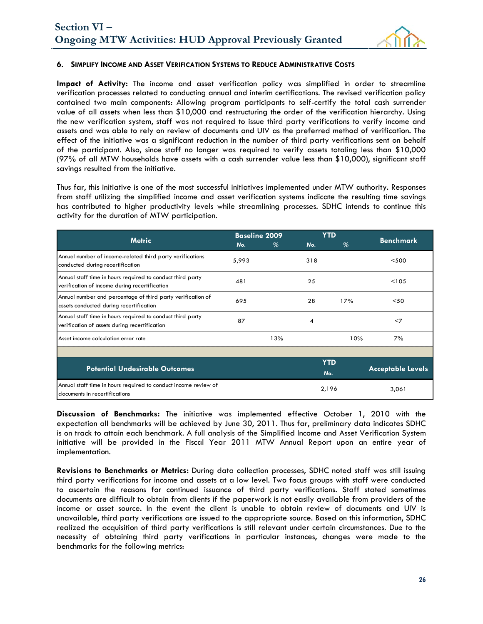

#### **6. SIMPLIFY INCOME AND ASSET VERIFICATION SYSTEMS TO REDUCE ADMINISTRATIVE COSTS**

**Impact of Activity:** The income and asset verification policy was simplified in order to streamline verification processes related to conducting annual and interim certifications. The revised verification policy contained two main components: Allowing program participants to self-certify the total cash surrender value of all assets when less than \$10,000 and restructuring the order of the verification hierarchy. Using the new verification system, staff was not required to issue third party verifications to verify income and assets and was able to rely on review of documents and UIV as the preferred method of verification. The effect of the initiative was a significant reduction in the number of third party verifications sent on behalf of the participant. Also, since staff no longer was required to verify assets totaling less than \$10,000 (97% of all MTW households have assets with a cash surrender value less than \$10,000), significant staff savings resulted from the initiative.

Thus far, this initiative is one of the most successful initiatives implemented under MTW authority. Responses from staff utilizing the simplified income and asset verification systems indicate the resulting time savings has contributed to higher productivity levels while streamlining processes. SDHC intends to continue this activity for the duration of MTW participation.

|                                                                                                             |       | <b>Baseline 2009</b> |       | <b>YTD</b> |                          |  |
|-------------------------------------------------------------------------------------------------------------|-------|----------------------|-------|------------|--------------------------|--|
| <b>Metric</b>                                                                                               | No.   | %                    | No.   | %          | <b>Benchmark</b>         |  |
| Annual number of income-related third party verifications<br>conducted during recertification               | 5,993 |                      | 318   |            | $<$ 500                  |  |
| Annual staff time in hours required to conduct third party<br>verification of income during recertification | 481   |                      | 25    |            | < 105                    |  |
| Annual number and percentage of third party verification of<br>assets conducted during recertification      | 695   |                      | 28    | 17%        | $50$                     |  |
| Annual staff time in hours required to conduct third party<br>verification of assets during recertification | 87    |                      | 4     |            | $<$ 7                    |  |
| Asset income calculation error rate                                                                         |       | 13%<br>10%<br>7%     |       |            |                          |  |
|                                                                                                             |       |                      |       |            |                          |  |
| <b>Potential Undesirable Outcomes</b>                                                                       |       |                      | No.   | <b>YTD</b> | <b>Acceptable Levels</b> |  |
| Annual staff time in hours required to conduct income review of<br>documents in recertifications            |       |                      | 2,196 |            | 3,061                    |  |

**Discussion of Benchmarks:** The initiative was implemented effective October 1, 2010 with the expectation all benchmarks will be achieved by June 30, 2011. Thus far, preliminary data indicates SDHC is on track to attain each benchmark. A full analysis of the Simplified Income and Asset Verification System initiative will be provided in the Fiscal Year 2011 MTW Annual Report upon an entire year of implementation.

**Revisions to Benchmarks or Metrics:** During data collection processes, SDHC noted staff was still issuing third party verifications for income and assets at a low level. Two focus groups with staff were conducted to ascertain the reasons for continued issuance of third party verifications. Staff stated sometimes documents are difficult to obtain from clients if the paperwork is not easily available from providers of the income or asset source. In the event the client is unable to obtain review of documents and UIV is unavailable, third party verifications are issued to the appropriate source. Based on this information, SDHC realized the acquisition of third party verifications is still relevant under certain circumstances. Due to the necessity of obtaining third party verifications in particular instances, changes were made to the benchmarks for the following metrics: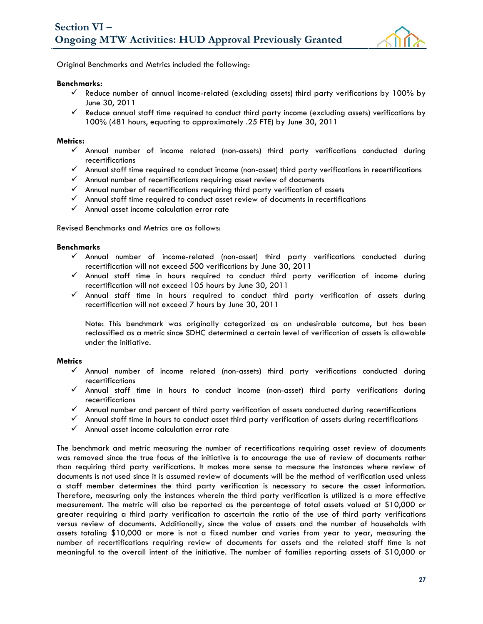

Original Benchmarks and Metrics included the following:

#### **Benchmarks:**

- $\checkmark$  Reduce number of annual income-related (excluding assets) third party verifications by 100% by June 30, 2011
- $\checkmark$  Reduce annual staff time required to conduct third party income (excluding assets) verifications by 100% (481 hours, equating to approximately .25 FTE) by June 30, 2011

#### **Metrics:**

- $\checkmark$  Annual number of income related (non-assets) third party verifications conducted during recertifications
- $\checkmark$  Annual staff time required to conduct income (non-asset) third party verifications in recertifications
- $\checkmark$  Annual number of recertifications requiring asset review of documents
- $\checkmark$  Annual number of recertifications requiring third party verification of assets
- $\checkmark$  Annual staff time required to conduct asset review of documents in recertifications
- $\checkmark$  Annual asset income calculation error rate

Revised Benchmarks and Metrics are as follows:

#### **Benchmarks**

- $\checkmark$  Annual number of income-related (non-asset) third party verifications conducted during recertification will not exceed 500 verifications by June 30, 2011
- $\checkmark$  Annual staff time in hours required to conduct third party verification of income during recertification will not exceed 105 hours by June 30, 2011
- $\checkmark$  Annual staff time in hours required to conduct third party verification of assets during recertification will not exceed 7 hours by June 30, 2011

Note: This benchmark was originally categorized as an undesirable outcome, but has been reclassified as a metric since SDHC determined a certain level of verification of assets is allowable under the initiative.

#### **Metrics**

- $\checkmark$  Annual number of income related (non-assets) third party verifications conducted during recertifications
- $\checkmark$  Annual staff time in hours to conduct income (non-asset) third party verifications during recertifications
- $\checkmark$  Annual number and percent of third party verification of assets conducted during recertifications
- $\checkmark$  Annual staff time in hours to conduct asset third party verification of assets during recertifications
- $\checkmark$  Annual asset income calculation error rate

The benchmark and metric measuring the number of recertifications requiring asset review of documents was removed since the true focus of the initiative is to encourage the use of review of documents rather than requiring third party verifications. It makes more sense to measure the instances where review of documents is not used since it is assumed review of documents will be the method of verification used unless a staff member determines the third party verification is necessary to secure the asset information. Therefore, measuring only the instances wherein the third party verification is utilized is a more effective measurement. The metric will also be reported as the percentage of total assets valued at \$10,000 or greater requiring a third party verification to ascertain the ratio of the use of third party verifications versus review of documents. Additionally, since the value of assets and the number of households with assets totaling \$10,000 or more is not a fixed number and varies from year to year, measuring the number of recertifications requiring review of documents for assets and the related staff time is not meaningful to the overall intent of the initiative. The number of families reporting assets of \$10,000 or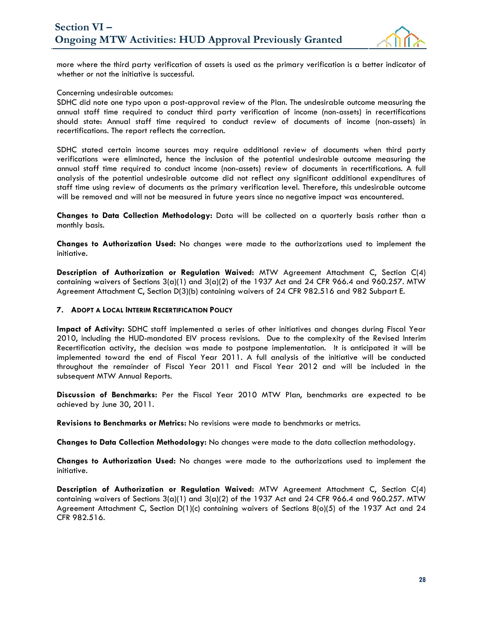

more where the third party verification of assets is used as the primary verification is a better indicator of whether or not the initiative is successful.

#### Concerning undesirable outcomes:

SDHC did note one typo upon a post-approval review of the Plan. The undesirable outcome measuring the annual staff time required to conduct third party verification of income (non-assets) in recertifications should state: Annual staff time required to conduct review of documents of income (non-assets) in recertifications. The report reflects the correction.

SDHC stated certain income sources may require additional review of documents when third party verifications were eliminated, hence the inclusion of the potential undesirable outcome measuring the annual staff time required to conduct income (non-assets) review of documents in recertifications. A full analysis of the potential undesirable outcome did not reflect any significant additional expenditures of staff time using review of documents as the primary verification level. Therefore, this undesirable outcome will be removed and will not be measured in future years since no negative impact was encountered.

**Changes to Data Collection Methodology:** Data will be collected on a quarterly basis rather than a monthly basis.

**Changes to Authorization Used:** No changes were made to the authorizations used to implement the initiative.

**Description of Authorization or Regulation Waived:** MTW Agreement Attachment C, Section C(4) containing waivers of Sections  $3(a)(1)$  and  $3(a)(2)$  of the 1937 Act and 24 CFR 966.4 and 960.257. MTW Agreement Attachment C, Section D(3)(b) containing waivers of 24 CFR 982.516 and 982 Subpart E.

#### **7. ADOPT A LOCAL INTERIM RECERTIFICATION POLICY**

**Impact of Activity:** SDHC staff implemented a series of other initiatives and changes during Fiscal Year 2010, including the HUD-mandated EIV process revisions. Due to the complexity of the Revised Interim Recertification activity, the decision was made to postpone implementation. It is anticipated it will be implemented toward the end of Fiscal Year 2011. A full analysis of the initiative will be conducted throughout the remainder of Fiscal Year 2011 and Fiscal Year 2012 and will be included in the subsequent MTW Annual Reports.

**Discussion of Benchmarks:** Per the Fiscal Year 2010 MTW Plan, benchmarks are expected to be achieved by June 30, 2011.

**Revisions to Benchmarks or Metrics:** No revisions were made to benchmarks or metrics.

**Changes to Data Collection Methodology:** No changes were made to the data collection methodology.

**Changes to Authorization Used:** No changes were made to the authorizations used to implement the initiative.

**Description of Authorization or Regulation Waived:** MTW Agreement Attachment C, Section C(4) containing waivers of Sections  $3(a)(1)$  and  $3(a)(2)$  of the 1937 Act and 24 CFR 966.4 and 960.257. MTW Agreement Attachment C, Section D(1)(c) containing waivers of Sections 8(o)(5) of the 1937 Act and 24 CFR 982.516.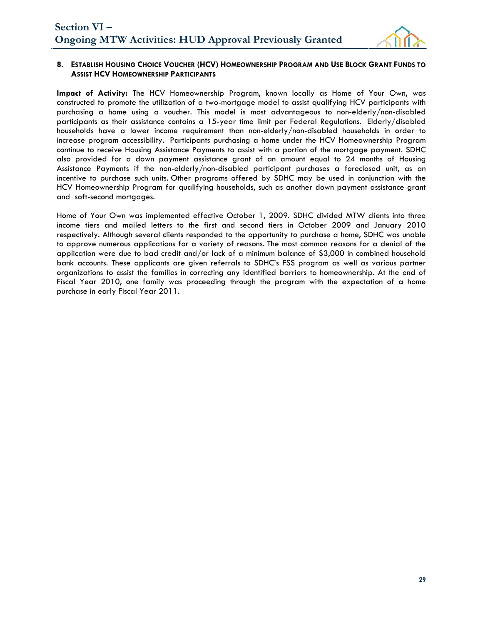

#### **8. ESTABLISH HOUSING CHOICE VOUCHER (HCV) HOMEOWNERSHIP PROGRAM AND USE BLOCK GRANT FUNDS TO ASSIST HCV HOMEOWNERSHIP PARTICIPANTS**

**Impact of Activity:** The HCV Homeownership Program, known locally as Home of Your Own, was constructed to promote the utilization of a two-mortgage model to assist qualifying HCV participants with purchasing a home using a voucher. This model is most advantageous to non-elderly/non-disabled participants as their assistance contains a 15-year time limit per Federal Regulations. Elderly/disabled households have a lower income requirement than non-elderly/non-disabled households in order to increase program accessibility. Participants purchasing a home under the HCV Homeownership Program continue to receive Housing Assistance Payments to assist with a portion of the mortgage payment. SDHC also provided for a down payment assistance grant of an amount equal to 24 months of Housing Assistance Payments if the non-elderly/non-disabled participant purchases a foreclosed unit, as an incentive to purchase such units. Other programs offered by SDHC may be used in conjunction with the HCV Homeownership Program for qualifying households, such as another down payment assistance grant and soft-second mortgages.

Home of Your Own was implemented effective October 1, 2009. SDHC divided MTW clients into three income tiers and mailed letters to the first and second tiers in October 2009 and January 2010 respectively. Although several clients responded to the opportunity to purchase a home, SDHC was unable to approve numerous applications for a variety of reasons. The most common reasons for a denial of the application were due to bad credit and/or lack of a minimum balance of \$3,000 in combined household bank accounts. These applicants are given referrals to SDHC's FSS program as well as various partner organizations to assist the families in correcting any identified barriers to homeownership. At the end of Fiscal Year 2010, one family was proceeding through the program with the expectation of a home purchase in early Fiscal Year 2011.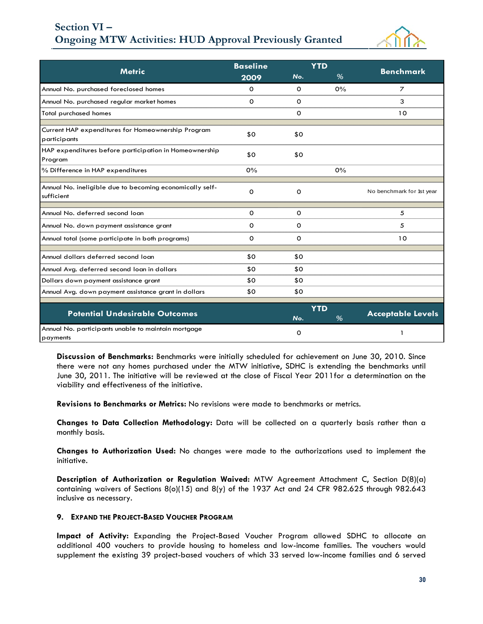## **Ongoing MTW Activities: HUD Approval Previously Granted Section VI –**



|                                                                        | <b>Baseline</b> |             | <b>YTD</b>      |                           |  |
|------------------------------------------------------------------------|-----------------|-------------|-----------------|---------------------------|--|
| <b>Metric</b>                                                          | 2009            | No.         | %               | <b>Benchmark</b>          |  |
| Annual No. purchased foreclosed homes                                  | 0               | $\Omega$    | 0%              | $\overline{z}$            |  |
| Annual No. purchased regular market homes                              | 0               | 0           |                 | 3                         |  |
| <b>Total purchased homes</b>                                           |                 | 0           |                 | 10                        |  |
| Current HAP expenditures for Homeownership Program<br>participants     | \$0             | \$0         |                 |                           |  |
| HAP expenditures before participation in Homeownership<br>Program      | \$0             | \$0         |                 |                           |  |
| % Difference in HAP expenditures                                       | 0%              |             | 0%              |                           |  |
| Annual No. ineligible due to becoming economically self-<br>sufficient | O               | $\Omega$    |                 | No benchmark for 1st year |  |
| Annual No. deferred second loan                                        | 0               | 0           |                 | 5                         |  |
| Annual No. down payment assistance grant                               | 0               | 0           |                 | 5                         |  |
| Annual total (some participate in both programs)                       | 0               | $\mathbf 0$ |                 | 10                        |  |
| Annual dollars deferred second loan                                    | \$0             | \$0         |                 |                           |  |
| Annual Avg. deferred second loan in dollars                            | \$0             | \$0         |                 |                           |  |
| Dollars down payment assistance grant                                  | \$0             | \$0         |                 |                           |  |
| Annual Avg. down payment assistance grant in dollars                   | \$0             | \$0         |                 |                           |  |
| <b>Potential Undesirable Outcomes</b>                                  |                 | No.         | <b>YTD</b><br>% | <b>Acceptable Levels</b>  |  |
| Annual No. participants unable to maintain mortgage<br>payments        |                 | 0           |                 |                           |  |

**Discussion of Benchmarks:** Benchmarks were initially scheduled for achievement on June 30, 2010. Since there were not any homes purchased under the MTW initiative, SDHC is extending the benchmarks until June 30, 2011. The initiative will be reviewed at the close of Fiscal Year 2011for a determination on the viability and effectiveness of the initiative.

**Revisions to Benchmarks or Metrics:** No revisions were made to benchmarks or metrics.

**Changes to Data Collection Methodology:** Data will be collected on a quarterly basis rather than a monthly basis.

**Changes to Authorization Used:** No changes were made to the authorizations used to implement the initiative.

**Description of Authorization or Regulation Waived:** MTW Agreement Attachment C, Section D(8)(a) containing waivers of Sections  $8(0)(15)$  and  $8(y)$  of the 1937 Act and 24 CFR 982.625 through 982.643 inclusive as necessary.

#### **9. EXPAND THE PROJECT-BASED VOUCHER PROGRAM**

**Impact of Activity:** Expanding the Project-Based Voucher Program allowed SDHC to allocate an additional 400 vouchers to provide housing to homeless and low-income families. The vouchers would supplement the existing 39 project-based vouchers of which 33 served low-income families and 6 served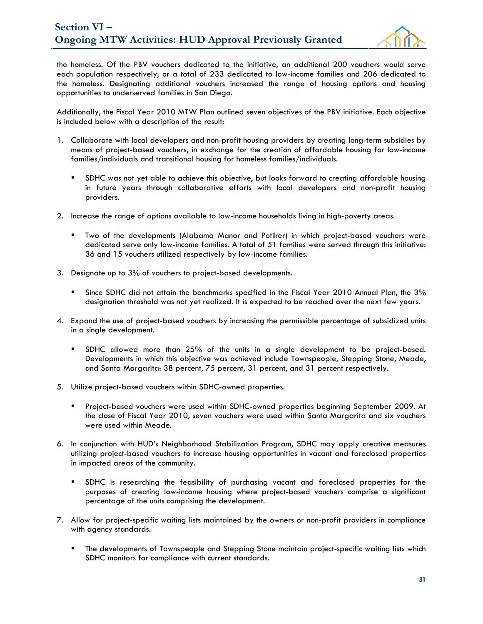

the homeless. Of the PBV vouchers dedicated to the initiative, an additional 200 vouchers would serve each population respectively, or a total of 233 dedicated to low-income families and 206 dedicated to the homeless. Designating additional vouchers increased the range of housing options and housing opportunities to underserved families in San Diego.

Additionally, the Fiscal Year 2010 MTW Plan outlined seven objectives of the PBV initiative. Each objective is included below with a description of the result:

- 1. Collaborate with local developers and non-profit housing providers by creating long-term subsidies by means of project-based vouchers, in exchange for the creation of affordable housing for low-income families/individuals and transitional housing for homeless families/individuals.
	- SDHC was not yet able to achieve this objective, but looks forward to creating affordable housing in future years through collaborative efforts with local developers and non-profit housing providers.
- 2. Increase the range of options available to low-income households living in high-poverty areas.
	- Two of the developments (Alabama Manor and Potiker) in which project-based vouchers were dedicated serve only low-income families. A total of 51 families were served through this initiative: 36 and 15 vouchers utilized respectively by low-income families.
- 3. Designate up to 3% of vouchers to project-based developments.
	- Since SDHC did not attain the benchmarks specified in the Fiscal Year 2010 Annual Plan, the 3% designation threshold was not yet realized. It is expected to be reached over the next few years.
- 4. Expand the use of project-based vouchers by increasing the permissible percentage of subsidized units in a single development.
	- SDHC allowed more than 25% of the units in a single development to be project-based. Developments in which this objective was achieved include Townspeople, Stepping Stone, Meade, and Santa Margarita: 38 percent, 75 percent, 31 percent, and 31 percent respectively.
- 5. Utilize project-based vouchers within SDHC-owned properties.
	- Project-based vouchers were used within SDHC-owned properties beginning September 2009. At the close of Fiscal Year 2010, seven vouchers were used within Santa Margarita and six vouchers were used within Meade.
- 6. In conjunction with HUD's Neighborhood Stabilization Program, SDHC may apply creative measures utilizing project-based vouchers to increase housing opportunities in vacant and foreclosed properties in impacted areas of the community.
	- SDHC is researching the feasibility of purchasing vacant and foreclosed properties for the purposes of creating low-income housing where project-based vouchers comprise a significant percentage of the units comprising the development.
- 7. Allow for project-specific waiting lists maintained by the owners or non-profit providers in compliance with agency standards.
	- **The developments of Townspeople and Stepping Stone maintain project-specific waiting lists which** SDHC monitors for compliance with current standards.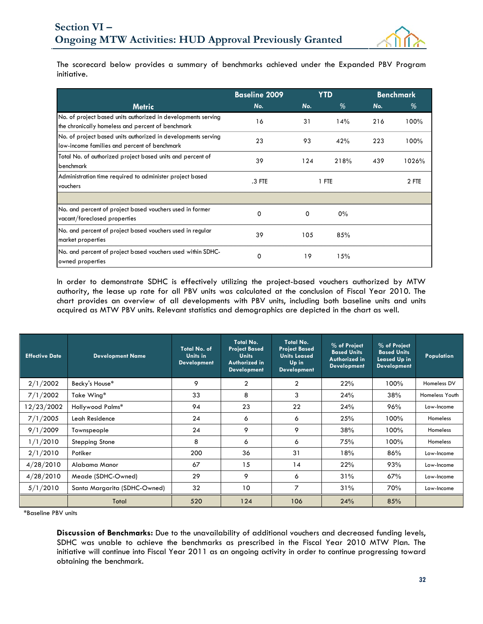

The scorecard below provides a summary of benchmarks achieved under the Expanded PBV Program initiative.

|                                                                                                                    | <b>Baseline 2009</b> | <b>YTD</b> |      | <b>Benchmark</b> |       |  |
|--------------------------------------------------------------------------------------------------------------------|----------------------|------------|------|------------------|-------|--|
| <b>Metric</b>                                                                                                      | No.                  | No.        | %    |                  | %     |  |
| No. of project based units authorized in developments serving<br>the chronically homeless and percent of benchmark | 16                   | 31         | 14%  | 216              | 100%  |  |
| No. of project based units authorized in developments serving<br>low-income families and percent of benchmark      | 23                   | 93         | 42%  | 223              | 100%  |  |
| Total No. of authorized project based units and percent of<br>benchmark                                            | 39                   | 124        | 218% | 439              | 1026% |  |
| Administration time required to administer project based<br>vouchers                                               | $.3$ FTE             | 1 FTE      |      |                  | 2 FTE |  |
|                                                                                                                    |                      |            |      |                  |       |  |
| No. and percent of project based vouchers used in former<br>vacant/foreclosed properties                           | 0                    | 0          | 0%   |                  |       |  |
| No. and percent of project based vouchers used in regular<br>market properties                                     | 39                   | 105        | 85%  |                  |       |  |
| No. and percent of project based vouchers used within SDHC-<br>owned properties                                    | 0                    | 19         | 15%  |                  |       |  |

In order to demonstrate SDHC is effectively utilizing the project-based vouchers authorized by MTW authority, the lease up rate for all PBV units was calculated at the conclusion of Fiscal Year 2010. The chart provides an overview of all developments with PBV units, including both baseline units and units acquired as MTW PBV units. Relevant statistics and demographics are depicted in the chart as well.

| <b>Effective Date</b> | Development Name             | Total No. of<br>Units in<br><b>Development</b> | Total No.<br><b>Project Based</b><br><b>Units</b><br>Authorized in<br><b>Development</b> | Total No.<br><b>Project Based</b><br><b>Units Leased</b><br>Up in<br><b>Development</b> | % of Project<br><b>Based Units</b><br>Authorized in<br><b>Development</b> | % of Project<br><b>Based Units</b><br><b>Leased Up in</b><br><b>Development</b> | <b>Population</b> |
|-----------------------|------------------------------|------------------------------------------------|------------------------------------------------------------------------------------------|-----------------------------------------------------------------------------------------|---------------------------------------------------------------------------|---------------------------------------------------------------------------------|-------------------|
| 2/1/2002              | Becky's House*               | 9                                              | 2                                                                                        | $\overline{2}$                                                                          | 22%                                                                       | 100%                                                                            | Homeless DV       |
| 7/1/2002              | Take Wing*                   | 33                                             | 8                                                                                        | 3                                                                                       | 24%                                                                       | 38%                                                                             | Homeless Youth    |
| 12/23/2002            | Hollywood Palms*             | 94                                             | 23                                                                                       | 22                                                                                      | 24%                                                                       | 96%                                                                             | Low-Income        |
| 7/1/2005              | Leah Residence               | 24                                             | 6                                                                                        | 6                                                                                       | 25%                                                                       | 100%                                                                            | <b>Homeless</b>   |
| 9/1/2009              | Townspeople                  | 24                                             | 9                                                                                        | 9                                                                                       | 38%                                                                       | 100%                                                                            | <b>Homeless</b>   |
| 1/1/2010              | <b>Stepping Stone</b>        | 8                                              | 6                                                                                        | 6                                                                                       | 75%                                                                       | 100%                                                                            | <b>Homeless</b>   |
| 2/1/2010              | Potiker                      | 200                                            | 36                                                                                       | 31                                                                                      | 18%                                                                       | 86%                                                                             | Low-Income        |
| 4/28/2010             | Alabama Manor                | 67                                             | 15                                                                                       | 14                                                                                      | 22%                                                                       | 93%                                                                             | Low-Income        |
| 4/28/2010             | Meade (SDHC-Owned)           | 29                                             | 9                                                                                        | 6                                                                                       | 31%                                                                       | 67%                                                                             | Low-Income        |
| 5/1/2010              | Santa Margarita (SDHC-Owned) | 32                                             | 10                                                                                       | 7                                                                                       | 31%                                                                       | 70%                                                                             | Low-Income        |
|                       | Total                        | 520                                            | 124                                                                                      | 106                                                                                     | 24%                                                                       | 85%                                                                             |                   |

\*Baseline PBV units

**Discussion of Benchmarks:** Due to the unavailability of additional vouchers and decreased funding levels, SDHC was unable to achieve the benchmarks as prescribed in the Fiscal Year 2010 MTW Plan. The initiative will continue into Fiscal Year 2011 as an ongoing activity in order to continue progressing toward obtaining the benchmark.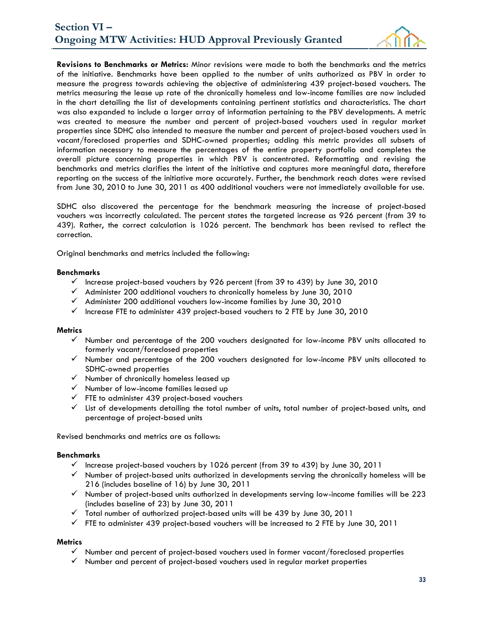

**Revisions to Benchmarks or Metrics:** Minor revisions were made to both the benchmarks and the metrics of the initiative. Benchmarks have been applied to the number of units authorized as PBV in order to measure the progress towards achieving the objective of administering 439 project-based vouchers. The metrics measuring the lease up rate of the chronically homeless and low-income families are now included in the chart detailing the list of developments containing pertinent statistics and characteristics. The chart was also expanded to include a larger array of information pertaining to the PBV developments. A metric was created to measure the number and percent of project-based vouchers used in regular market properties since SDHC also intended to measure the number and percent of project-based vouchers used in vacant/foreclosed properties and SDHC-owned properties; adding this metric provides all subsets of information necessary to measure the percentages of the entire property portfolio and completes the overall picture concerning properties in which PBV is concentrated. Reformatting and revising the benchmarks and metrics clarifies the intent of the initiative and captures more meaningful data, therefore reporting on the success of the initiative more accurately. Further, the benchmark reach dates were revised from June 30, 2010 to June 30, 2011 as 400 additional vouchers were not immediately available for use.

SDHC also discovered the percentage for the benchmark measuring the increase of project-based vouchers was incorrectly calculated. The percent states the targeted increase as 926 percent (from 39 to 439). Rather, the correct calculation is 1026 percent. The benchmark has been revised to reflect the correction.

Original benchmarks and metrics included the following:

#### **Benchmarks**

- $\checkmark$  Increase project-based vouchers by 926 percent (from 39 to 439) by June 30, 2010
- $\checkmark$  Administer 200 additional vouchers to chronically homeless by June 30, 2010
- $\checkmark$  Administer 200 additional vouchers low-income families by June 30, 2010
- $\checkmark$  Increase FTE to administer 439 project-based vouchers to 2 FTE by June 30, 2010

#### **Metrics**

- $\checkmark$  Number and percentage of the 200 vouchers designated for low-income PBV units allocated to formerly vacant/foreclosed properties
- $\checkmark$  Number and percentage of the 200 vouchers designated for low-income PBV units allocated to SDHC-owned properties
- $\checkmark$  Number of chronically homeless leased up
- $\checkmark$  Number of low-income families leased up
- $\checkmark$  FTE to administer 439 project-based vouchers
- $\checkmark$  List of developments detailing the total number of units, total number of project-based units, and percentage of project-based units

Revised benchmarks and metrics are as follows:

#### **Benchmarks**

- $\checkmark$  Increase project-based vouchers by 1026 percent (from 39 to 439) by June 30, 2011
- $\checkmark$  Number of project-based units authorized in developments serving the chronically homeless will be 216 (includes baseline of 16) by June 30, 2011
- $\checkmark$  Number of project-based units authorized in developments serving low-income families will be 223 (includes baseline of 23) by June 30, 2011
- $\checkmark$  Total number of authorized project-based units will be 439 by June 30, 2011
- $\checkmark$  FTE to administer 439 project-based vouchers will be increased to 2 FTE by June 30, 2011

#### **Metrics**

- $\checkmark$  Number and percent of project-based vouchers used in former vacant/foreclosed properties
- $\checkmark$  Number and percent of project-based vouchers used in regular market properties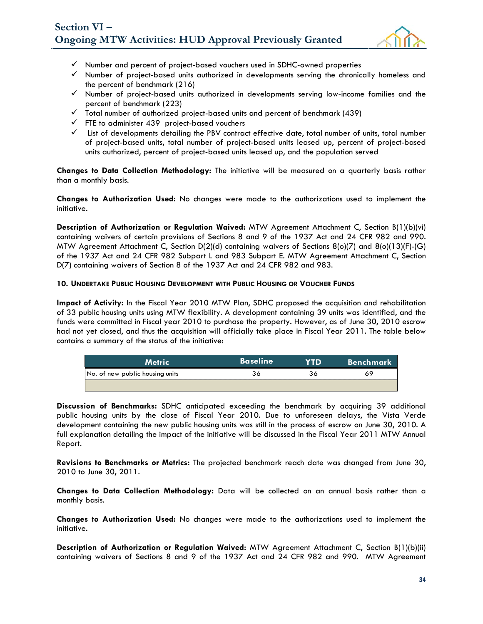

- $\checkmark$  Number and percent of project-based vouchers used in SDHC-owned properties
- $\checkmark$  Number of project-based units authorized in developments serving the chronically homeless and the percent of benchmark (216)
- $\checkmark$  Number of project-based units authorized in developments serving low-income families and the percent of benchmark (223)
- $\checkmark$  Total number of authorized project-based units and percent of benchmark (439)
- $\checkmark$  FTE to administer 439 project-based vouchers
- $\checkmark$  List of developments detailing the PBV contract effective date, total number of units, total number of project-based units, total number of project-based units leased up, percent of project-based units authorized, percent of project-based units leased up, and the population served

**Changes to Data Collection Methodology:** The initiative will be measured on a quarterly basis rather than a monthly basis.

**Changes to Authorization Used:** No changes were made to the authorizations used to implement the initiative.

**Description of Authorization or Regulation Waived:** MTW Agreement Attachment C, Section B(1)(b)(vi) containing waivers of certain provisions of Sections 8 and 9 of the 1937 Act and 24 CFR 982 and 990. MTW Agreement Attachment C, Section D(2)(d) containing waivers of Sections 8(o)(7) and 8(o)(13)(F)-(G) of the 1937 Act and 24 CFR 982 Subpart L and 983 Subpart E. MTW Agreement Attachment C, Section D(7) containing waivers of Section 8 of the 1937 Act and 24 CFR 982 and 983.

#### **10. UNDERTAKE PUBLIC HOUSING DEVELOPMENT WITH PUBLIC HOUSING OR VOUCHER FUNDS**

**Impact of Activity:** In the Fiscal Year 2010 MTW Plan, SDHC proposed the acquisition and rehabilitation of 33 public housing units using MTW flexibility. A development containing 39 units was identified, and the funds were committed in Fiscal year 2010 to purchase the property. However, as of June 30, 2010 escrow had not yet closed, and thus the acquisition will officially take place in Fiscal Year 2011. The table below contains a summary of the status of the initiative:

|                                 | ne | <b>Benchmark</b> |
|---------------------------------|----|------------------|
| No. of new public housing units |    |                  |
|                                 |    |                  |

**Discussion of Benchmarks:** SDHC anticipated exceeding the benchmark by acquiring 39 additional public housing units by the close of Fiscal Year 2010. Due to unforeseen delays, the Vista Verde development containing the new public housing units was still in the process of escrow on June 30, 2010. A full explanation detailing the impact of the initiative will be discussed in the Fiscal Year 2011 MTW Annual Report.

**Revisions to Benchmarks or Metrics:** The projected benchmark reach date was changed from June 30, 2010 to June 30, 2011.

**Changes to Data Collection Methodology:** Data will be collected on an annual basis rather than a monthly basis.

**Changes to Authorization Used:** No changes were made to the authorizations used to implement the initiative.

**Description of Authorization or Regulation Waived:** MTW Agreement Attachment C, Section B(1)(b)(ii) containing waivers of Sections 8 and 9 of the 1937 Act and 24 CFR 982 and 990. MTW Agreement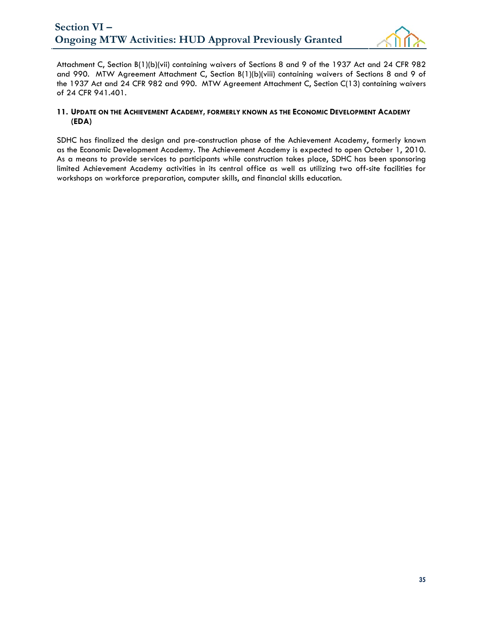

Attachment C, Section B(1)(b)(vii) containing waivers of Sections 8 and 9 of the 1937 Act and 24 CFR 982 and 990. MTW Agreement Attachment C, Section B(1)(b)(viii) containing waivers of Sections 8 and 9 of the 1937 Act and 24 CFR 982 and 990. MTW Agreement Attachment C, Section C(13) containing waivers of 24 CFR 941.401.

#### **11. UPDATE ON THE ACHIEVEMENT ACADEMY, FORMERLY KNOWN AS THE ECONOMIC DEVELOPMENT ACADEMY (EDA)**

SDHC has finalized the design and pre-construction phase of the Achievement Academy, formerly known as the Economic Development Academy. The Achievement Academy is expected to open October 1, 2010. As a means to provide services to participants while construction takes place, SDHC has been sponsoring limited Achievement Academy activities in its central office as well as utilizing two off-site facilities for workshops on workforce preparation, computer skills, and financial skills education.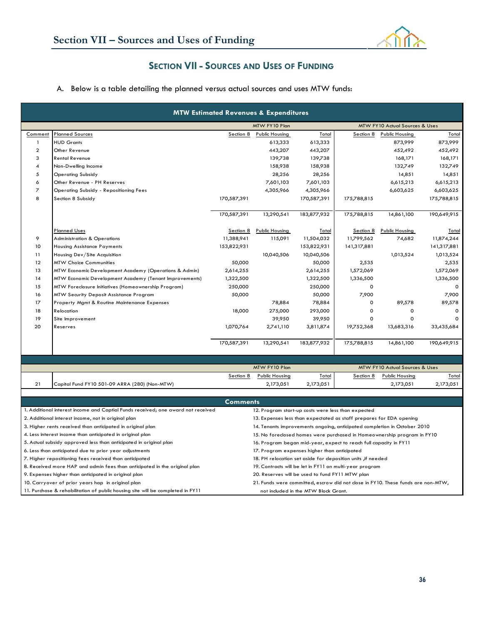

## **SECTION VII - SOURCES AND USES OF FUNDING**

## A. Below is a table detailing the planned versus actual sources and uses MTW funds:

|                         |                                                                                  |                     | <b>MTW Estimated Revenues &amp; Expenditures</b>                    |                                      |                      |                                                                                  |             |
|-------------------------|----------------------------------------------------------------------------------|---------------------|---------------------------------------------------------------------|--------------------------------------|----------------------|----------------------------------------------------------------------------------|-------------|
|                         |                                                                                  |                     | MTW FY10 Plan                                                       |                                      |                      | MTW FY10 Actual Sources & Uses                                                   |             |
| Comment                 | <b>Planned Sources</b>                                                           | Section 8           | <b>Public Housing</b>                                               | Total                                | Section 8            | Public Housing                                                                   | Total       |
| $\mathbf{1}$            | <b>HUD Grants</b>                                                                |                     | 613,333                                                             | 613,333                              |                      | 873,999                                                                          | 873,999     |
| $\overline{\mathbf{c}}$ | Other Revenue                                                                    |                     | 443,207                                                             | 443,207                              |                      | 452,492                                                                          | 452,492     |
| 3                       | <b>Rental Revenue</b>                                                            |                     | 139,738                                                             | 139,738                              |                      | 168,171                                                                          | 168,171     |
| 4                       | Non-Dwelling Income                                                              |                     | 158,938                                                             | 158,938                              |                      | 132,749                                                                          | 132,749     |
| 5                       | <b>Operating Subsidy</b>                                                         |                     | 28,256                                                              | 28,256                               |                      | 14,851                                                                           | 14,851      |
| 6                       | Other Revenue - PH Reserves                                                      |                     | 7,601,103                                                           | 7,601,103                            |                      | 6,615,213                                                                        | 6,615,213   |
| $\overline{z}$          | <b>Operating Subsidy - Repositioning Fees</b>                                    |                     | 4,305,966                                                           | 4,305,966                            |                      | 6,603,625                                                                        | 6,603,625   |
| 8                       | Section 8 Subsidy                                                                | 170,587,391         |                                                                     | 170,587,391                          | 175,788,815          |                                                                                  | 175,788,815 |
|                         |                                                                                  | 170,587,391         | 13,290,541                                                          | 183,877,932                          | 175,788,815          | 14,861,100                                                                       | 190,649,915 |
|                         | <b>Planned Uses</b>                                                              | Section 8           | <b>Public Housing</b>                                               | Total                                | Section 8            | Public Housing                                                                   | Total       |
| 9                       | <b>Administration &amp; Operations</b>                                           | 11,388,941          | 115,091                                                             | 11,504,032                           | 11,799,562           | 74,682                                                                           | 11,874,244  |
| 10                      | <b>Housing Assistance Payments</b>                                               | 153,822,931         |                                                                     | 153,822,931                          | 141,317,881          |                                                                                  | 141,317,881 |
| 11                      |                                                                                  |                     | 10,040,506                                                          | 10,040,506                           |                      | 1,013,524                                                                        | 1,013,524   |
| 12                      | Housing Dev/Site Acquisition                                                     |                     |                                                                     |                                      |                      |                                                                                  |             |
| 13                      | <b>MTW Choice Communities</b>                                                    | 50,000<br>2,614,255 |                                                                     | 50,000                               | 2,535                |                                                                                  | 2,535       |
|                         | MTW Economic Development Academy (Operations & Admin)                            |                     |                                                                     | 2,614,255                            | 1,572,069            |                                                                                  | 1,572,069   |
| 14                      | MTW Economic Development Academy (Tenant Improvements)                           | 1,322,500           |                                                                     | 1,322,500                            | 1,336,500<br>$\circ$ |                                                                                  | 1,336,500   |
| 15                      | MTW Foreclosure Initiatives (Homeownership Program)                              | 250,000             |                                                                     | 250,000                              |                      |                                                                                  |             |
| 16                      | MTW Security Deposit Assistance Program                                          | 50,000              |                                                                     | 50,000                               | 7,900                |                                                                                  | 7,900       |
| 17                      | Property Mgmt & Routine Maintenance Expenses                                     |                     | 78,884                                                              | 78,884                               | $\mathsf{o}\xspace$  | 89,578                                                                           | 89,578      |
| 18                      | Relocation                                                                       | 18,000              | 275,000                                                             | 293,000                              | $\mathsf{o}\xspace$  | 0                                                                                | $\mathbf 0$ |
| 19                      | Site Improvement                                                                 |                     | 39,950                                                              | 39,950                               | 0                    | 0                                                                                |             |
| 20                      | Reserves                                                                         | 1,070,764           | 2,741,110                                                           | 3,811,874                            | 19,752,368           | 13,683,316                                                                       | 33,435,684  |
|                         |                                                                                  | 170,587,391         | 13,290,541                                                          | 183,877,932                          | 175,788,815          | 14,861,100                                                                       | 190,649,915 |
|                         |                                                                                  |                     |                                                                     |                                      |                      |                                                                                  |             |
|                         |                                                                                  |                     | MTW FY10 Plan                                                       |                                      |                      | MTW FY10 Actual Sources & Uses                                                   |             |
|                         |                                                                                  | Section 8           | Public Housing                                                      | Total                                | Section 8            | Public Housing                                                                   | Total       |
| 21                      | Capital Fund FY10 501-09 ARRA (280) (Non-MTW)                                    |                     | 2,173,051                                                           | 2,173,051                            |                      | 2,173,051                                                                        | 2,173,051   |
|                         |                                                                                  |                     |                                                                     |                                      |                      |                                                                                  |             |
|                         |                                                                                  | <b>Comments</b>     |                                                                     |                                      |                      |                                                                                  |             |
|                         | 1. Additional interest income and Captial Funds received; one award not received |                     | 12. Program start-up costs were less than expected                  |                                      |                      |                                                                                  |             |
|                         | 2. Additional interest income, not in original plan                              |                     | 13. Expenses less than expectated as staff prepares for EDA opening |                                      |                      |                                                                                  |             |
|                         | 3. Higher rents received than anticipated in original plan                       |                     |                                                                     |                                      |                      | 14. Tenants improvements ongoing, anticipated completion in October 2010         |             |
|                         | 4. Less interest income than anticipated in original plan                        |                     |                                                                     |                                      |                      | 15. No foreclosed homes were purchased in Homeownership program in FY10          |             |
|                         | 5. Actual subsidy approved less than anticipated in original plan                |                     | 16. Program began mid-year, expect to reach full capacity in FY11   |                                      |                      |                                                                                  |             |
|                         | 6. Less than anticipated due to prior year adjustments                           |                     | 17. Program expenses higher than anticipated                        |                                      |                      |                                                                                  |             |
|                         | 7. Higher repositioning fees received than anticipated                           |                     | 18. PH relocation set aside for deposition units ,if needed         |                                      |                      |                                                                                  |             |
|                         | 8. Received more HAP and admin fees than anticipated in the original plan        |                     | 19. Contracts will be let in FY11 on multi-year program             |                                      |                      |                                                                                  |             |
|                         | 9. Expenses higher than anticipated in original plan                             |                     | 20. Reserves will be used to fund FY11 MTW plan                     |                                      |                      |                                                                                  |             |
|                         | 10. Carryover of prior years hap in original plan                                |                     |                                                                     |                                      |                      | 21. Funds were committed, escrow did not close in FY10. These funds are non-MTW, |             |
|                         | 11. Purchase & rehabilitation of public housing site will be completed in FY11   |                     |                                                                     | not included in the MTW Block Grant. |                      |                                                                                  |             |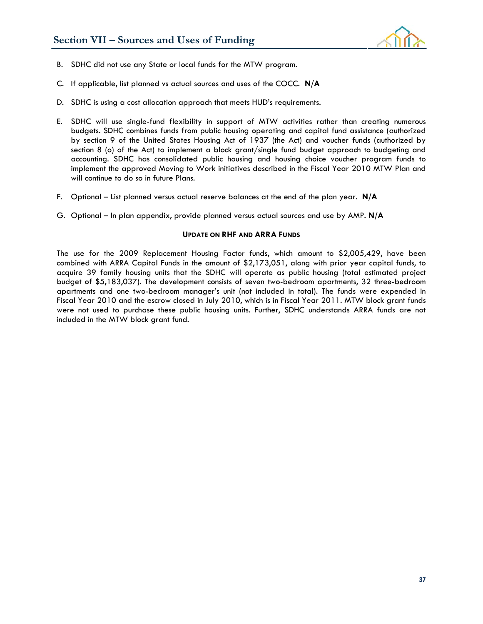

- B. SDHC did not use any State or local funds for the MTW program.
- C. If applicable, list planned vs actual sources and uses of the COCC. **N/A**
- D. SDHC is using a cost allocation approach that meets HUD's requirements.
- E. SDHC will use single-fund flexibility in support of MTW activities rather than creating numerous budgets. SDHC combines funds from public housing operating and capital fund assistance (authorized by section 9 of the United States Housing Act of 1937 (the Act) and voucher funds (authorized by section 8 (o) of the Act) to implement a block grant/single fund budget approach to budgeting and accounting. SDHC has consolidated public housing and housing choice voucher program funds to implement the approved Moving to Work initiatives described in the Fiscal Year 2010 MTW Plan and will continue to do so in future Plans.
- F. Optional List planned versus actual reserve balances at the end of the plan year. **N/A**
- G. Optional In plan appendix, provide planned versus actual sources and use by AMP. **N/A**

#### **UPDATE ON RHF AND ARRA FUNDS**

The use for the 2009 Replacement Housing Factor funds, which amount to \$2,005,429, have been combined with ARRA Capital Funds in the amount of \$2,173,051, along with prior year capital funds, to acquire 39 family housing units that the SDHC will operate as public housing (total estimated project budget of \$5,183,037). The development consists of seven two-bedroom apartments, 32 three-bedroom apartments and one two-bedroom manager's unit (not included in total). The funds were expended in Fiscal Year 2010 and the escrow closed in July 2010, which is in Fiscal Year 2011. MTW block grant funds were not used to purchase these public housing units. Further, SDHC understands ARRA funds are not included in the MTW block grant fund.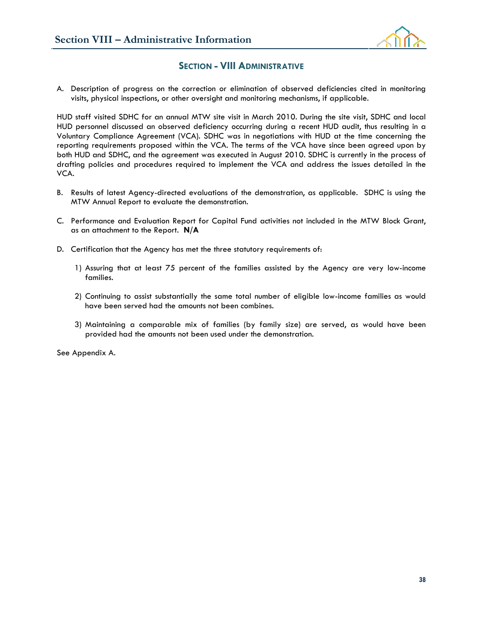

#### **SECTION - VIII ADMINISTRATIVE**

A. Description of progress on the correction or elimination of observed deficiencies cited in monitoring visits, physical inspections, or other oversight and monitoring mechanisms, if applicable.

HUD staff visited SDHC for an annual MTW site visit in March 2010. During the site visit, SDHC and local HUD personnel discussed an observed deficiency occurring during a recent HUD audit, thus resulting in a Voluntary Compliance Agreement (VCA). SDHC was in negotiations with HUD at the time concerning the reporting requirements proposed within the VCA. The terms of the VCA have since been agreed upon by both HUD and SDHC, and the agreement was executed in August 2010. SDHC is currently in the process of drafting policies and procedures required to implement the VCA and address the issues detailed in the VCA.

- B. Results of latest Agency-directed evaluations of the demonstration, as applicable. SDHC is using the MTW Annual Report to evaluate the demonstration.
- C. Performance and Evaluation Report for Capital Fund activities not included in the MTW Block Grant, as an attachment to the Report. **N/A**
- D. Certification that the Agency has met the three statutory requirements of:
	- 1) Assuring that at least 75 percent of the families assisted by the Agency are very low-income families.
	- 2) Continuing to assist substantially the same total number of eligible low-income families as would have been served had the amounts not been combines.
	- 3) Maintaining a comparable mix of families (by family size) are served, as would have been provided had the amounts not been used under the demonstration.

See Appendix A.